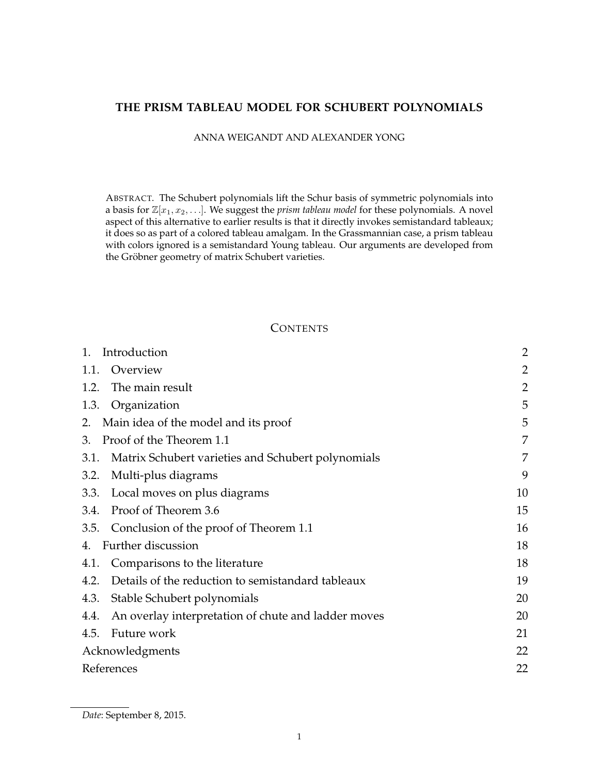## **THE PRISM TABLEAU MODEL FOR SCHUBERT POLYNOMIALS**

ANNA WEIGANDT AND ALEXANDER YONG

ABSTRACT. The Schubert polynomials lift the Schur basis of symmetric polynomials into a basis for  $\mathbb{Z}[x_1, x_2, \ldots]$ . We suggest the *prism tableau model* for these polynomials. A novel aspect of this alternative to earlier results is that it directly invokes semistandard tableaux; it does so as part of a colored tableau amalgam. In the Grassmannian case, a prism tableau with colors ignored is a semistandard Young tableau. Our arguments are developed from the Gröbner geometry of matrix Schubert varieties.

## **CONTENTS**

| Introduction                                                | $\overline{2}$ |
|-------------------------------------------------------------|----------------|
| Overview<br>1.1.                                            | 2              |
| The main result<br>1.2.                                     | $\overline{2}$ |
| 1.3.<br>Organization                                        | 5              |
| Main idea of the model and its proof<br>2.                  | 5              |
| Proof of the Theorem 1.1<br>3.                              | 7              |
| Matrix Schubert varieties and Schubert polynomials<br>3.1.  | 7              |
| Multi-plus diagrams<br>3.2.                                 | 9              |
| Local moves on plus diagrams<br>3.3.                        | 10             |
| Proof of Theorem 3.6<br>3.4.                                | 15             |
| Conclusion of the proof of Theorem 1.1<br>3.5.              | 16             |
| Further discussion<br>4.                                    | 18             |
| Comparisons to the literature<br>4.1.                       | 18             |
| Details of the reduction to semistandard tableaux<br>4.2.   | 19             |
| Stable Schubert polynomials<br>4.3.                         | 20             |
| An overlay interpretation of chute and ladder moves<br>4.4. | 20             |
| Future work<br>4.5.                                         | 21             |
| Acknowledgments                                             | 22             |
| References                                                  | 22             |

*Date*: September 8, 2015.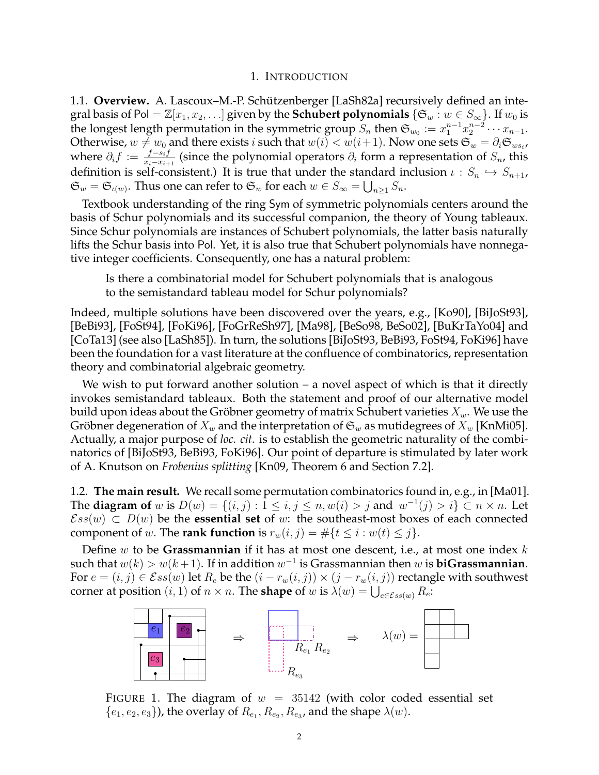### 1. INTRODUCTION

1.1. Overview. A. Lascoux-M.-P. Schützenberger [LaSh82a] recursively defined an integral basis of Pol =  $\mathbb{Z}[x_1, x_2, \ldots]$  given by the **Schubert polynomials**  $\{\mathfrak{S}_w : w \in S_\infty\}$ . If  $w_0$  is the longest length permutation in the symmetric group  $S_n$  then  $\mathfrak{S}_{w_0} := x_1^{n-1} x_2^{n-2} \cdots x_{n-1}$ . Otherwise,  $w\neq w_0$  and there exists  $i$  such that  $w(i)< w(i+1)$ . Now one sets  $\mathfrak{S}_w=\partial_i\mathfrak{S}_{ws_i}$ , where  $\partial_i f := \frac{f-s_i f}{x_i-x_{i+1}}$  $\frac{f-s_i f}{x_i-x_{i+1}}$  (since the polynomial operators  $\partial_i$  form a representation of  $S_n$ , this definition is self-consistent.) It is true that under the standard inclusion  $\iota : S_n \hookrightarrow S_{n+1}$ ,  $\mathfrak{S}_w = \mathfrak{S}_{\iota(w)}$ . Thus one can refer to  $\mathfrak{S}_w$  for each  $w \in S_\infty = \bigcup_{n \geq 1} S_n$ .

Textbook understanding of the ring Sym of symmetric polynomials centers around the basis of Schur polynomials and its successful companion, the theory of Young tableaux. Since Schur polynomials are instances of Schubert polynomials, the latter basis naturally lifts the Schur basis into Pol. Yet, it is also true that Schubert polynomials have nonnegative integer coefficients. Consequently, one has a natural problem:

Is there a combinatorial model for Schubert polynomials that is analogous to the semistandard tableau model for Schur polynomials?

Indeed, multiple solutions have been discovered over the years, e.g., [Ko90], [BiJoSt93], [BeBi93], [FoSt94], [FoKi96], [FoGrReSh97], [Ma98], [BeSo98, BeSo02], [BuKrTaYo04] and [CoTa13] (see also [LaSh85]). In turn, the solutions [BiJoSt93, BeBi93, FoSt94, FoKi96] have been the foundation for a vast literature at the confluence of combinatorics, representation theory and combinatorial algebraic geometry.

We wish to put forward another solution – a novel aspect of which is that it directly invokes semistandard tableaux. Both the statement and proof of our alternative model build upon ideas about the Gröbner geometry of matrix Schubert varieties  $X_w$ . We use the Gröbner degeneration of  $X_w$  and the interpretation of  $\mathfrak{S}_w$  as mutidegrees of  $X_w$  [KnMi05]. Actually, a major purpose of *loc. cit.* is to establish the geometric naturality of the combinatorics of [BiJoSt93, BeBi93, FoKi96]. Our point of departure is stimulated by later work of A. Knutson on *Frobenius splitting* [Kn09, Theorem 6 and Section 7.2].

1.2. **The main result.** We recall some permutation combinatorics found in, e.g., in [Ma01]. The **diagram of** w is  $D(w) = \{(i, j) : 1 \le i, j \le n, w(i) > j \text{ and } w^{-1}(j) > i\} \subset n \times n$ . Let  $\mathcal{E}ss(w) \subset D(w)$  be the **essential set** of w: the southeast-most boxes of each connected component of w. The **rank function** is  $r_w(i, j) = \#\{t \leq i : w(t) \leq j\}.$ 

Define w to be **Grassmannian** if it has at most one descent, i.e., at most one index k such that  $w(k) > w(k+1)$ . If in addition  $w^{-1}$  is Grassmannian then  $w$  is  $\mathbf{biG}$ rassmannian. For  $e = (i, j) \in \mathcal{E}ss(w)$  let  $R_e$  be the  $(i - r_w(i, j)) \times (j - r_w(i, j))$  rectangle with southwest corner at position  $(i, 1)$  of  $n \times n$ . The **shape** of w is  $\lambda(w) = \bigcup_{e \in \mathcal{E}ss(w)} R_e$ .



FIGURE 1. The diagram of  $w = 35142$  (with color coded essential set  $\{e_1, e_2, e_3\}$ ), the overlay of  $R_{e_1}, R_{e_2}, R_{e_3}$ , and the shape  $\lambda(w)$ .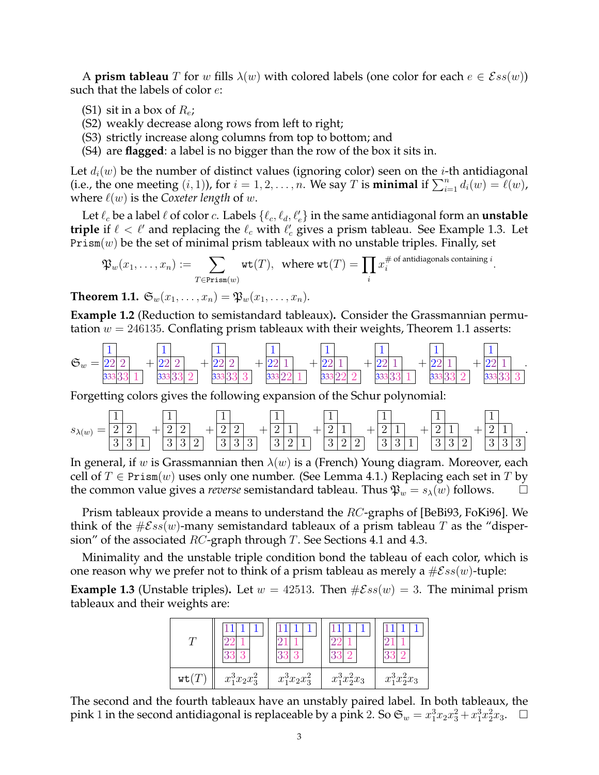A **prism tableau** T for w fills  $\lambda(w)$  with colored labels (one color for each  $e \in \mathcal{E}ss(w)$ ) such that the labels of color  $e$ :

- (S1) sit in a box of  $R_e$ ;
- (S2) weakly decrease along rows from left to right;
- (S3) strictly increase along columns from top to bottom; and
- (S4) are **flagged**: a label is no bigger than the row of the box it sits in.

Let  $d_i(w)$  be the number of distinct values (ignoring color) seen on the *i*-th antidiagonal (i.e., the one meeting  $(i, 1)$ ), for  $i = 1, 2, \ldots, n$ . We say T is **minimal** if  $\sum_{i=1}^{n} d_i(w) = \ell(w)$ , where  $\ell(w)$  is the *Coxeter length* of w.

Let  $\ell_c$  be a label  $\ell$  of color  $c$ . Labels  $\{\ell_c, \ell_d, \ell'_e\}$  in the same antidiagonal form an **unstable triple** if  $\ell < \ell'$  and replacing the  $\ell_c$  with  $\ell'_c$  gives a prism tableau. See Example 1.3. Let  $Prism(w)$  be the set of minimal prism tableaux with no unstable triples. Finally, set

$$
\mathfrak{P}_w(x_1,\ldots,x_n):=\sum_{T\in \texttt{Prism}(w)}\texttt{wt}(T),\ \ \text{where}\ \texttt{wt}(T)=\prod_i x_i^{\# \ \text{of antidiagonals containing }i}.
$$

**Theorem 1.1.**  $\mathfrak{S}_w(x_1, \ldots, x_n) = \mathfrak{P}_w(x_1, \ldots, x_n)$ .

**Example 1.2** (Reduction to semistandard tableaux)**.** Consider the Grassmannian permutation  $w = 246135$ . Conflating prism tableaux with their weights, Theorem 1.1 asserts:

$$
\mathfrak{S}_w = \frac{1}{22\ 2} + \frac{1}{22\ 2} + \frac{1}{22\ 2} + \frac{1}{22\ 1} + \frac{1}{22\ 1} + \frac{1}{22\ 1} + \frac{1}{22\ 1} + \frac{1}{22\ 1} + \frac{1}{22\ 1} + \frac{1}{22\ 1} + \frac{1}{22\ 1} + \frac{1}{22\ 1}.
$$

Forgetting colors gives the following expansion of the Schur polynomial:

sλ(w) = 1 2 2 3 3 1 + 1 2 2 3 3 2 + 1 2 2 3 3 3 + 1 2 1 3 2 1 + 1 2 1 3 2 2 + 1 2 1 3 3 1 + 1 2 1 3 3 2 + 1 2 1 3 3 3 .

In general, if w is Grassmannian then  $\lambda(w)$  is a (French) Young diagram. Moreover, each cell of  $T \in \text{Prism}(w)$  uses only one number. (See Lemma 4.1.) Replacing each set in T by the common value gives a *reverse* semistandard tableau. Thus  $\mathfrak{P}_w = s_\lambda(w)$  follows.  $\square$ 

Prism tableaux provide a means to understand the  $RC$ -graphs of [BeBi93, FoKi96]. We think of the  $\#\mathcal{E}ss(w)$ -many semistandard tableaux of a prism tableau T as the "dispersion" of the associated  $RC$ -graph through T. See Sections 4.1 and 4.3.

Minimality and the unstable triple condition bond the tableau of each color, which is one reason why we prefer not to think of a prism tableau as merely a  $\#\mathcal{E}ss(w)$ -tuple:

**Example 1.3** (Unstable triples). Let  $w = 42513$ . Then  $\#Ess(w) = 3$ . The minimal prism tableaux and their weights are:

| wt( | $x_1^3x_2x_3^2$ | $x_1^3x_2x_3^2$ | $x_1^3x_2^2x_3$ | $x_1^3x_2^2x_3$ |
|-----|-----------------|-----------------|-----------------|-----------------|

The second and the fourth tableaux have an unstably paired label. In both tableaux, the pink 1 in the second antidiagonal is replaceable by a pink 2. So  $\mathfrak{S}_w = x_1^3 x_2 x_3^2 + x_1^3 x_2^2 x_3$ .  $\Box$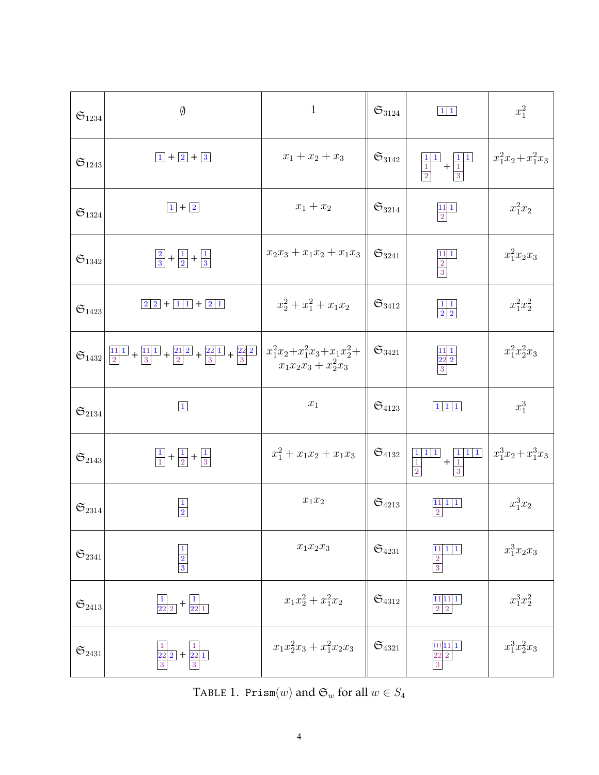| $\mathfrak{S}_{1234}$ | $\emptyset$                                                                                       | $\mathbf{1}$                                                 | $\mathfrak{S}_{3124}$ | $1\vert 1$                                                                                                                                                                  | $x_1^2$               |
|-----------------------|---------------------------------------------------------------------------------------------------|--------------------------------------------------------------|-----------------------|-----------------------------------------------------------------------------------------------------------------------------------------------------------------------------|-----------------------|
| $\mathfrak{S}_{1243}$ | $1 + 2 + 3$                                                                                       | $x_1 + x_2 + x_3$                                            | $\mathfrak{S}_{3142}$ | $+\frac{1}{1}$<br>$\frac{1}{2}$                                                                                                                                             | $x_1^2x_2 + x_1^2x_3$ |
| $\mathfrak{S}_{1324}$ | $1 + 2$                                                                                           | $x_1+x_2$                                                    | $\mathfrak{S}_{3214}$ | $\begin{array}{c c} 11 & 1 \\ \hline 2 & \end{array}$                                                                                                                       | $x_1^2x_2$            |
| $\mathfrak{S}_{1342}$ | $\frac{2}{3} + \frac{1}{2} + \frac{1}{3}$                                                         | $x_2x_3 + x_1x_2 + x_1x_3$                                   | $\mathfrak{S}_{3241}$ | $\frac{1111}{2}$ $\frac{2}{3}$                                                                                                                                              | $x_1^2x_2x_3$         |
| $\mathfrak{S}_{1423}$ | $\boxed{2}$ 2 + $\boxed{1}$ 1 + $\boxed{2}$ 1                                                     | $x_2^2 + x_1^2 + x_1x_2$                                     | $\mathfrak{S}_{3412}$ | $\frac{1}{2}$ $\frac{1}{2}$                                                                                                                                                 | $x_1^2x_2^2$          |
| $\mathfrak{S}_{1432}$ | $\frac{11 1 }{2}$ + $\frac{11 1 }{3}$ + $\frac{21 2 }{2}$ + $\frac{22 1 }{3}$ + $\frac{22 2 }{3}$ | $x_1^2x_2 + x_1^2x_3 + x_1x_2^2 +$<br>$x_1x_2x_3 + x_2^2x_3$ | $\mathfrak{S}_{3421}$ | $\frac{22}{3}$                                                                                                                                                              | $x_1^2x_2^2x_3$       |
| $\mathfrak{S}_{2134}$ | $\boxed{1}$                                                                                       | $\boldsymbol{x}_1$                                           | $\mathfrak{S}_{4123}$ | $\begin{bmatrix} 1 & 1 & 1 \end{bmatrix}$                                                                                                                                   | $x_1^3$               |
| $\mathfrak{S}_{2143}$ | $\frac{1}{1} + \frac{1}{2} + \frac{1}{3}$                                                         | $x_1^2 + x_1x_2 + x_1x_3$                                    | $\mathfrak{S}_{4132}$ | $+\begin{array}{ c c } \hline 1&1&1\\ \hline 1&&\\ \hline \end{array}$<br>$\begin{array}{c c} \hline 1 \\ \hline 1 \\ \hline \end{array}$<br>$1\, \,1\, $<br>$\overline{3}$ | $x_1^3x_2+x_1^3x_3$   |
| $\mathfrak{S}_{2314}$ | $\mathbf 1$<br>$\overline{2}$                                                                     | $x_1 \\ x_2$                                                 | $\mathfrak{S}_{4213}$ | $11\ 1\ 1$<br>$\,2$                                                                                                                                                         | $x_1^3x_2$            |
| $\mathfrak{S}_{2341}$ | $\frac{2}{3}$                                                                                     | $x_1x_2x_3$                                                  | $\mathfrak{S}_{4231}$ | $\mathbf{1}$<br>$\frac{2}{3}$                                                                                                                                               | $x_1^3x_2x_3$         |
| $\mathfrak{S}_{2413}$ | $\frac{1}{22\ 2}$ + $\frac{1}{22\ 1}$                                                             | $x_1x_2^2 + x_1^2x_2$                                        | $\mathfrak{S}_{4312}$ | $\frac{11}{2}$ $\frac{11}{2}$                                                                                                                                               | $x_1^3x_2^2$          |
| $\mathfrak{S}_{2431}$ | $\frac{1}{22\ 2}$ + $\frac{1}{22\ 1}$<br>3                                                        | $x_1x_2^2x_3 + x_1^2x_2x_3$                                  | $\mathfrak{S}_{4321}$ | 11  1<br>$\sqrt{22}$ 2 $\,$                                                                                                                                                 | $x_1^3x_2^2x_3$       |

TABLE 1.  $\text{Prism}(w)$  and  $\mathfrak{S}_w$  for all  $w \in S_4$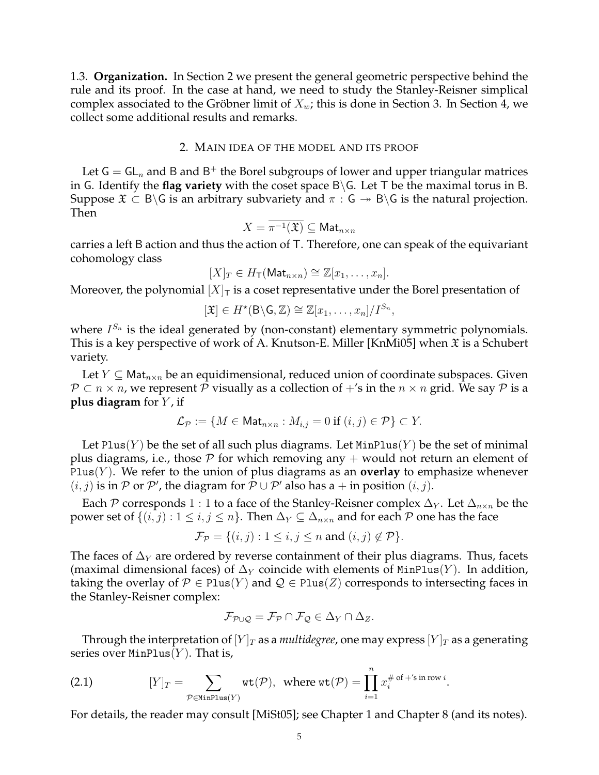1.3. **Organization.** In Section 2 we present the general geometric perspective behind the rule and its proof. In the case at hand, we need to study the Stanley-Reisner simplical complex associated to the Gröbner limit of  $X_w$ ; this is done in Section 3. In Section 4, we collect some additional results and remarks.

### 2. MAIN IDEA OF THE MODEL AND ITS PROOF

Let  $G = GL_n$  and B and B<sup>+</sup> the Borel subgroups of lower and upper triangular matrices in G. Identify the **flag variety** with the coset space B\G. Let T be the maximal torus in B. Suppose  $\mathfrak{X} \subset B\backslash G$  is an arbitrary subvariety and  $\pi : G \rightarrow B\backslash G$  is the natural projection. Then

$$
X=\overline{\pi^{-1}(\mathfrak{X})}\subseteq \mathsf{Mat}_{n\times n}
$$

carries a left B action and thus the action of T. Therefore, one can speak of the equivariant cohomology class

$$
[X]_T \in H_{\mathsf{T}}(\mathsf{Mat}_{n \times n}) \cong \mathbb{Z}[x_1, \ldots, x_n].
$$

Moreover, the polynomial  $[X]_T$  is a coset representative under the Borel presentation of

$$
[\mathfrak{X}] \in H^{\star}(\mathsf{B}\backslash \mathsf{G},\mathbb{Z}) \cong \mathbb{Z}[x_1,\ldots,x_n]/I^{S_n},
$$

where  $I^{S_n}$  is the ideal generated by (non-constant) elementary symmetric polynomials. This is a key perspective of work of A. Knutson-E. Miller [KnMi05] when  $\mathfrak X$  is a Schubert variety.

Let  $Y \subseteq Mat_{n \times n}$  be an equidimensional, reduced union of coordinate subspaces. Given  $P \subset n \times n$ , we represent P visually as a collection of  $+$ 's in the  $n \times n$  grid. We say P is a **plus diagram** for  $Y$ , if

$$
\mathcal{L}_{\mathcal{P}} := \{ M \in \mathsf{Mat}_{n \times n} : M_{i,j} = 0 \text{ if } (i,j) \in \mathcal{P} \} \subset Y.
$$

Let Plus(Y) be the set of all such plus diagrams. Let  $MinPlus(Y)$  be the set of minimal plus diagrams, i.e., those  $\mathcal P$  for which removing any  $+$  would not return an element of Plus $(Y)$ . We refer to the union of plus diagrams as an **overlay** to emphasize whenever  $(i, j)$  is in  $P$  or  $P'$ , the diagram for  $\overline{P} \cup P'$  also has a + in position  $(i, j)$ .

Each P corresponds 1 : 1 to a face of the Stanley-Reisner complex  $\Delta_Y$ . Let  $\Delta_{n\times n}$  be the power set of  $\{(i, j): 1 \le i, j \le n\}$ . Then  $\Delta_Y \subseteq \Delta_{n \times n}$  and for each P one has the face

$$
\mathcal{F}_{\mathcal{P}} = \{(i, j) : 1 \le i, j \le n \text{ and } (i, j) \notin \mathcal{P}\}.
$$

The faces of  $\Delta_Y$  are ordered by reverse containment of their plus diagrams. Thus, facets (maximal dimensional faces) of  $\Delta_Y$  coincide with elements of MinPlus(Y). In addition, taking the overlay of  $P \in Plus(Y)$  and  $Q \in Plus(Z)$  corresponds to intersecting faces in the Stanley-Reisner complex:

$$
\mathcal{F}_{\mathcal{P}\cup\mathcal{Q}}=\mathcal{F}_{\mathcal{P}}\cap\mathcal{F}_{\mathcal{Q}}\in\Delta_Y\cap\Delta_Z.
$$

Through the interpretation of  $[Y]_T$  as a *multidegree*, one may express  $[Y]_T$  as a generating series over  $MinPlus(Y)$ . That is,

(2.1) 
$$
[Y]_T = \sum_{\mathcal{P} \in \text{MinPlus}(Y)} \text{wt}(\mathcal{P}), \text{ where } \text{wt}(\mathcal{P}) = \prod_{i=1}^n x_i^{\# \text{ of } + \text{'s in row } i}.
$$

For details, the reader may consult [MiSt05]; see Chapter 1 and Chapter 8 (and its notes).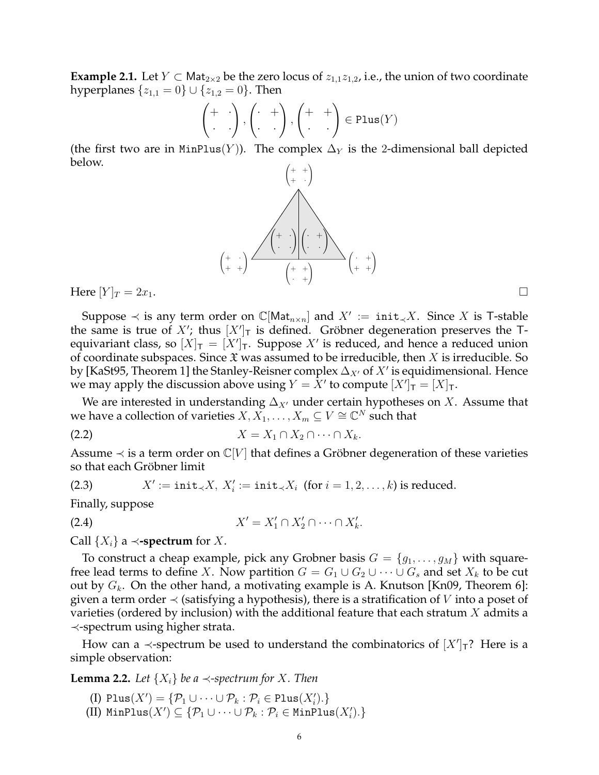**Example 2.1.** Let  $Y \subset Mat_{2\times 2}$  be the zero locus of  $z_{1,1}z_{1,2}$ , i.e., the union of two coordinate hyperplanes  $\{z_{1,1} = 0\} \cup \{z_{1,2} = 0\}$ . Then

$$
\begin{pmatrix} + & \cdot \\ \cdot & \cdot \end{pmatrix}, \begin{pmatrix} \cdot & + \\ \cdot & \cdot \end{pmatrix}, \begin{pmatrix} + & + \\ \cdot & \cdot \end{pmatrix} \in \text{Plus}(Y)
$$

(the first two are in MinPlus(Y)). The complex  $\Delta_Y$  is the 2-dimensional ball depicted below.  $\sqrt{4}$  $\setminus$ 



Here  $[Y]_T = 2x_1$ .

Suppose  $\prec$  is any term order on  $\mathbb{C}[\mathsf{Mat}_{n\times n}]$  and  $X' := \mathsf{init}_{\prec} X$ . Since X is T-stable the same is true of  $X'$ ; thus  $[X']_T$  is defined. Gröbner degeneration preserves the Tequivariant class, so  $[X]_{\mathsf{T}} = [X']_{\mathsf{T}}$ . Suppose  $X'$  is reduced, and hence a reduced union of coordinate subspaces. Since  $\mathfrak X$  was assumed to be irreducible, then X is irreducible. So by [KaSt95, Theorem 1] the Stanley-Reisner complex  $\Delta_{X'}$  of  $X'$  is equidimensional. Hence we may apply the discussion above using  $Y = X'$  to compute  $[X']_T = [X]_T$ .

We are interested in understanding  $\Delta_{X}$  under certain hypotheses on X. Assume that we have a collection of varieties  $X, X_1, \ldots, X_m \subseteq V \cong \mathbb{C}^N$  such that

$$
(2.2) \t\t X = X_1 \cap X_2 \cap \cdots \cap X_k.
$$

Assume  $\prec$  is a term order on  $\mathbb{C}[V]$  that defines a Gröbner degeneration of these varieties so that each Gröbner limit

(2.3) 
$$
X' := \text{init}_{\prec} X, \ X'_i := \text{init}_{\prec} X_i \ \text{(for } i = 1, 2, \ldots, k \text{) is reduced.}
$$

Finally, suppose

$$
(2.4) \t\t X' = X'_1 \cap X'_2 \cap \cdots \cap X'_k.
$$

Call  $\{X_i\}$  a  $\prec$ **-spectrum** for X.

To construct a cheap example, pick any Grobner basis  $G = \{g_1, \ldots, g_M\}$  with squarefree lead terms to define X. Now partition  $G = G_1 \cup G_2 \cup \cdots \cup G_s$  and set  $X_k$  to be cut out by  $G_k$ . On the other hand, a motivating example is A. Knutson [Kn09, Theorem 6]: given a term order  $\prec$  (satisfying a hypothesis), there is a stratification of V into a poset of varieties (ordered by inclusion) with the additional feature that each stratum  $X$  admits a ≺-spectrum using higher strata.

How can a  $\prec$ -spectrum be used to understand the combinatorics of  $[X']$ <sup>7</sup>? Here is a simple observation:

**Lemma 2.2.** *Let*  $\{X_i\}$  *be a*  $\prec$ -spectrum for X. Then

- (I) Plus $(X') = \{ \mathcal{P}_1 \cup \cdots \cup \mathcal{P}_k : \mathcal{P}_i \in \text{Plus}(X'_i) \}$
- (II)  $\text{MinPlus}(X') \subseteq \{ \mathcal{P}_1 \cup \cdots \cup \mathcal{P}_k : \mathcal{P}_i \in \text{MinPlus}(X'_i) \}$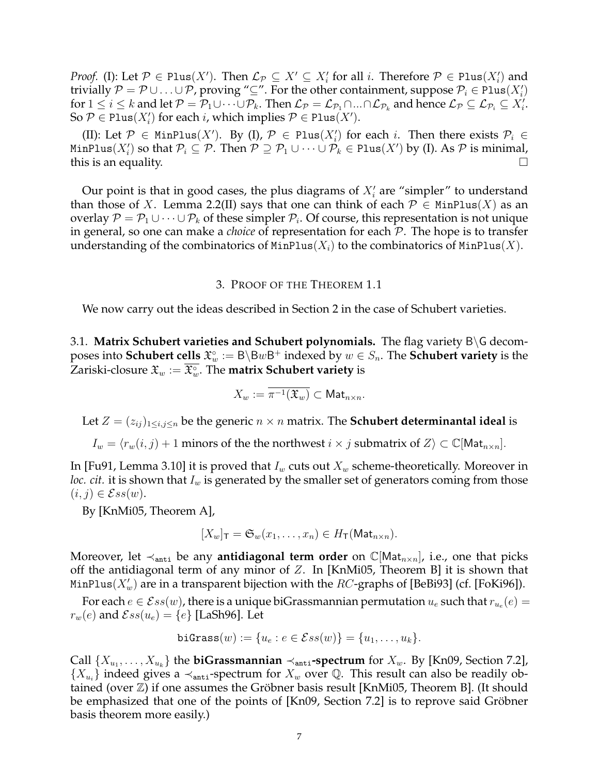*Proof.* (I): Let  $\mathcal{P} \in \text{Plus}(X')$ . Then  $\mathcal{L}_{\mathcal{P}} \subseteq X' \subseteq X'_i$  for all i. Therefore  $\mathcal{P} \in \text{Plus}(X'_i)$  and trivially  $\mathcal{P} = \mathcal{P} \cup \ldots \cup \mathcal{P}$ , proving "⊆". For the other containment, suppose  $\mathcal{P}_i \in \text{Plus}(X_i')$ for  $1 \leq i \leq k$  and let  $\mathcal{P} = \overline{\mathcal{P}}_1 \cup \cdots \cup \mathcal{P}_k$ . Then  $\mathcal{L}_{\mathcal{P}} = \mathcal{L}_{\mathcal{P}_1} \cap ... \cap \mathcal{L}_{\mathcal{P}_k}$  and hence  $\mathcal{L}_{\mathcal{P}} \subseteq \mathcal{L}_{\mathcal{P}_i} \subseteq X'_i$ . So  $P \in \text{Plus}(X_i')$  for each *i*, which implies  $P \in \text{Plus}(X').$ 

(II): Let  $\mathcal{P} \in \text{MinPlus}(X')$ . By (I),  $\mathcal{P} \in \text{Plus}(X'_i)$  for each i. Then there exists  $\mathcal{P}_i \in$ <code>MinPlus( $X_i'$ )</code> so that  $\mathcal{P}_i\subseteq\mathcal{P}.$  Then  $\mathcal{P}\supseteq\mathcal{P}_1\cup\cdots\cup\mathcal{P}_k\in\texttt{Plus}(X')$  by (I). As  $\mathcal P$  is minimal, this is an equality.  $\Box$ 

Our point is that in good cases, the plus diagrams of  $X_i'$  are "simpler" to understand than those of X. Lemma 2.2(II) says that one can think of each  $\mathcal{P} \in \text{MinPlus}(X)$  as an overlay  $\mathcal{P} = \mathcal{P}_1 \cup \cdots \cup \mathcal{P}_k$  of these simpler  $\mathcal{P}_i$ . Of course, this representation is not unique in general, so one can make a *choice* of representation for each P. The hope is to transfer understanding of the combinatorics of  $MinPlus(X_i)$  to the combinatorics of  $MinPlus(X)$ .

### 3. PROOF OF THE THEOREM 1.1

We now carry out the ideas described in Section 2 in the case of Schubert varieties.

3.1. **Matrix Schubert varieties and Schubert polynomials.** The flag variety B\G decomposes into <code>Schubert</code> cells  $\mathfrak{X}_w^\circ:=\mathsf{B}\backslash\mathsf{B}w\mathsf{B}^+$  indexed by  $w\in S_n.$  The <code>Schubert</code> variety is the Zariski-closure  $\mathfrak{X}_w := \overline{\mathfrak{X}^\circ_w}.$  The **matrix Schubert variety** is

$$
X_w:=\pi^{-1}(\mathfrak{X}_w)\subset \mathsf{Mat}_{n\times n}.
$$

Let  $Z = (z_{ij})_{1 \le i,j \le n}$  be the generic  $n \times n$  matrix. The **Schubert determinantal ideal** is

 $I_w = \langle r_w(i, j) + 1$  minors of the the northwest  $i \times j$  submatrix of  $Z \rangle \subset \mathbb{C}[\mathsf{Mat}_{n \times n}].$ 

In [Fu91, Lemma 3.10] it is proved that  $I_w$  cuts out  $X_w$  scheme-theoretically. Moreover in *loc. cit.* it is shown that  $I_w$  is generated by the smaller set of generators coming from those  $(i, j) \in \mathcal{E}ss(w).$ 

By [KnMi05, Theorem A],

$$
[X_w]_{\mathsf{T}} = \mathfrak{S}_w(x_1, \ldots, x_n) \in H_{\mathsf{T}}(\mathsf{Mat}_{n \times n}).
$$

Moreover, let  $\prec_{\text{anti}}$  be any **antidiagonal term order** on  $\mathbb{C}[\text{Mat}_{n\times n}]$ , i.e., one that picks off the antidiagonal term of any minor of  $Z$ . In [KnMi05, Theorem B] it is shown that <code>MinPlus( $X'_w$ )</code> are in a transparent bijection with the  $RC$ -graphs of [BeBi93] (cf. [FoKi96]).

For each  $e \in \mathcal{E}ss(w)$ , there is a unique biGrassmannian permutation  $u_e$  such that  $r_{u_e}(e) =$  $r_w(e)$  and  $\mathcal{E}ss(u_e) = \{e\}$  [LaSh96]. Let

$$
\mathtt{biGrass}(w) := \{u_e : e \in \mathcal{E}ss(w)\} = \{u_1, \ldots, u_k\}.
$$

Call  $\{X_{u_1}, \ldots, X_{u_k}\}$  the  $\bf{biGrassmannian} \prec_{\tt anti}\bf{-spectrum}$  for  $X_w$ . By [Kn09, Section 7.2],  ${X_{u_i}}$  indeed gives a  $\prec$ <sub>anti</sub>-spectrum for  $X_w$  over Q. This result can also be readily obtained (over  $\mathbb{Z}$ ) if one assumes the Gröbner basis result [KnMi05, Theorem B]. (It should be emphasized that one of the points of [Kn09, Section 7.2] is to reprove said Gröbner basis theorem more easily.)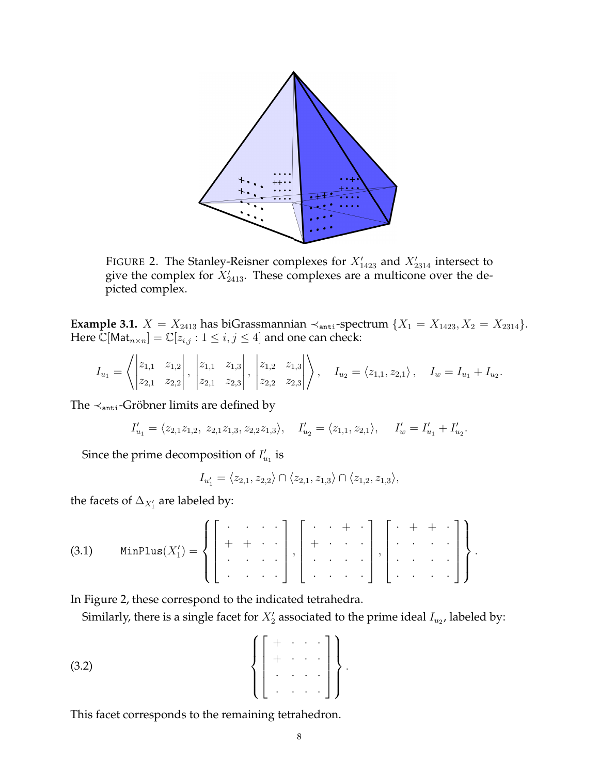

FIGURE 2. The Stanley-Reisner complexes for  $X'_{1423}$  and  $X'_{2314}$  intersect to give the complex for  $X'_{2413}$ . These complexes are a multicone over the depicted complex.

**Example 3.1.**  $X = X_{2413}$  has biGrassmannian  $\prec_{\text{anti}}$ -spectrum  $\{X_1 = X_{1423}, X_2 = X_{2314}\}.$ Here  $\mathbb{C}[\text{Mat}_{n \times n}] = \mathbb{C}[z_{i,j} : 1 \leq i, j \leq 4]$  and one can check:

$$
I_{u_1} = \left\langle \begin{vmatrix} z_{1,1} & z_{1,2} \\ z_{2,1} & z_{2,2} \end{vmatrix}, \begin{vmatrix} z_{1,1} & z_{1,3} \\ z_{2,1} & z_{2,3} \end{vmatrix}, \begin{vmatrix} z_{1,2} & z_{1,3} \\ z_{2,2} & z_{2,3} \end{vmatrix} \right\rangle, \quad I_{u_2} = \langle z_{1,1}, z_{2,1} \rangle, \quad I_w = I_{u_1} + I_{u_2}.
$$

The  $\prec$ <sub>anti</sub>-Gröbner limits are defined by

$$
I'_{u_1} = \langle z_{2,1}z_{1,2}, z_{2,1}z_{1,3}, z_{2,2}z_{1,3} \rangle, \quad I'_{u_2} = \langle z_{1,1}, z_{2,1} \rangle, \quad I'_{w} = I'_{u_1} + I'_{u_2}.
$$

Since the prime decomposition of  $I'_{u_1}$  is

$$
I_{u_1'} = \langle z_{2,1}, z_{2,2} \rangle \cap \langle z_{2,1}, z_{1,3} \rangle \cap \langle z_{1,2}, z_{1,3} \rangle,
$$

the facets of  $\Delta_{X'_1}$  are labeled by:

(3.1) MinPlus(X 0 1 ) = · · · · + + · · · · · · · · · · , · · + · + · · · · · · · · · · · , · + + · · · · · · · · · · · · · .

In Figure 2, these correspond to the indicated tetrahedra.

Similarly, there is a single facet for  $X'_2$  associated to the prime ideal  $I_{u_2}$ , labeled by:

$$
\left\{\left[\begin{array}{ccc} + & \cdot & \cdot & \cdot \\ + & \cdot & \cdot & \cdot \\ \cdot & \cdot & \cdot & \cdot \\ \cdot & \cdot & \cdot & \cdot \end{array}\right]\right\}.
$$

This facet corresponds to the remaining tetrahedron.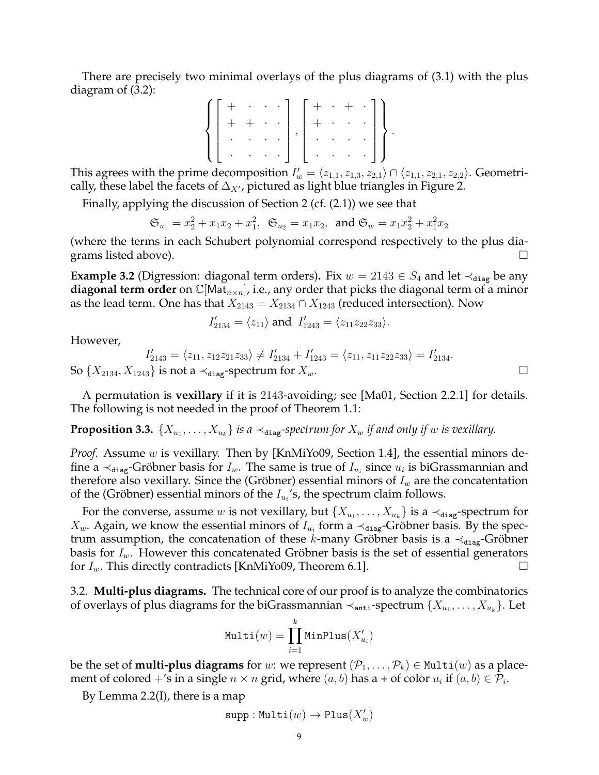There are precisely two minimal overlays of the plus diagrams of (3.1) with the plus diagram of (3.2):

$$
\left\{\left[\begin{array}{cccc} + & \cdot & \cdot & \cdot \\ + & + & \cdot & \cdot \\ \cdot & \cdot & \cdot & \cdot \\ \cdot & \cdot & \cdot & \cdot \end{array}\right], \left[\begin{array}{cccc} + & \cdot & + & \cdot \\ + & \cdot & \cdot & \cdot \\ \cdot & \cdot & \cdot & \cdot \\ \cdot & \cdot & \cdot & \cdot \end{array}\right]\right\}.
$$

This agrees with the prime decomposition  $I'_w = \langle z_{1,1}, z_{1,3}, z_{2,1} \rangle \cap \langle z_{1,1}, z_{2,1}, z_{2,2} \rangle$ . Geometrically, these label the facets of  $\Delta_{X}$ , pictured as light blue triangles in Figure 2.

Finally, applying the discussion of Section 2 (cf. (2.1)) we see that

$$
\mathfrak{S}_{u_1} = x_2^2 + x_1 x_2 + x_1^2
$$
,  $\mathfrak{S}_{u_2} = x_1 x_2$ , and  $\mathfrak{S}_w = x_1 x_2^2 + x_1^2 x_2$ 

(where the terms in each Schubert polynomial correspond respectively to the plus diagrams listed above).  $\Box$ 

**Example 3.2** (Digression: diagonal term orders). Fix  $w = 2143 \in S_4$  and let  $\prec_{diag}$  be any **diagonal term order** on  $\mathbb{C}[\text{Mat}_{n\times n}]$ , i.e., any order that picks the diagonal term of a minor as the lead term. One has that  $X_{2143} = X_{2134} \cap X_{1243}$  (reduced intersection). Now

$$
I'_{2134} = \langle z_{11} \rangle
$$
 and  $I'_{1243} = \langle z_{11} z_{22} z_{33} \rangle$ .

However,

$$
I'_{2143} = \langle z_{11}, z_{12}z_{21}z_{33} \rangle \neq I'_{2134} + I'_{1243} = \langle z_{11}, z_{11}z_{22}z_{33} \rangle = I'_{2134}.
$$
  
as is not a  $\prec$  use-spectrum for  $X_{-}$ .

So  $\{X_{2134}, X_{1243}\}$  is not a  $\prec_{\text{diag}}$ -spectrum for  $X_w$ .

A permutation is **vexillary** if it is 2143-avoiding; see [Ma01, Section 2.2.1] for details. The following is not needed in the proof of Theorem 1.1:

# **Proposition 3.3.**  $\{X_{u_1}, \ldots, X_{u_k}\}$  is a  $\prec_{\texttt{diag}}$ -spectrum for  $X_w$  if and only if  $w$  is vexillary.

*Proof.* Assume w is vexillary. Then by [KnMiYo09, Section 1.4], the essential minors define a  $\prec_{diag}$ -Gröbner basis for  $I_w$ . The same is true of  $I_{u_i}$  since  $u_i$  is biGrassmannian and therefore also vexillary. Since the (Gröbner) essential minors of  $I_w$  are the concatentation of the (Gröbner) essential minors of the  $I_{u_i}$ 's, the spectrum claim follows.

For the converse, assume  $w$  is not vexillary, but  $\{X_{u_1},\ldots,X_{u_k}\}$  is a  $\prec_{\mathtt{diag}}$ -spectrum for  $X_w$ . Again, we know the essential minors of  $I_{u_i}$  form a  $\prec$ <sub>diag</sub>-Gröbner basis. By the spectrum assumption, the concatenation of these k-many Gröbner basis is a  $\prec_{diag}$ -Gröbner basis for  $I_w$ . However this concatenated Gröbner basis is the set of essential generators for  $I_w$ . This directly contradicts [KnMiYo09, Theorem 6.1].

3.2. **Multi-plus diagrams.** The technical core of our proof is to analyze the combinatorics of overlays of plus diagrams for the biGrassmannian  $\prec_{\mathtt{anti}}$ -spectrum  $\{X_{u_1},\ldots,X_{u_k}\}.$  Let

$$
\texttt{Multi}(w) = \prod_{i=1}^k \texttt{MinPlus}(X_{u_i}')
$$

be the set of **multi-plus diagrams** for w: we represent  $(\mathcal{P}_1, \ldots, \mathcal{P}_k) \in \text{Multi}(w)$  as a placement of colored +'s in a single  $n \times n$  grid, where  $(a, b)$  has a + of color  $u_i$  if  $(a, b) \in \mathcal{P}_i$ .

By Lemma 2.2(I), there is a map

$$
\mathtt{supp} : \mathtt{Multi}(w) \to \mathtt{Plus}(X'_w)
$$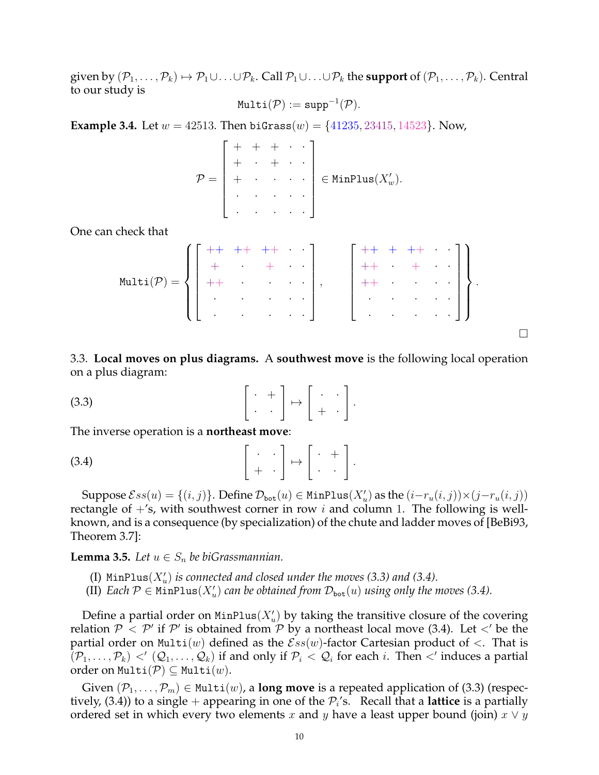given by  $(\mathcal{P}_1,\ldots,\mathcal{P}_k)\mapsto \mathcal{P}_1\cup\ldots\cup\mathcal{P}_k$ . Call  $\mathcal{P}_1\cup\ldots\cup\mathcal{P}_k$  the **support** of  $(\mathcal{P}_1,\ldots,\mathcal{P}_k)$ . Central to our study is

$$
\texttt{Multi}(\mathcal{P}) := \texttt{supp}^{-1}(\mathcal{P}).
$$

**Example 3.4.** Let  $w = 42513$ . Then biGrass $(w) = \{41235, 23415, 14523\}$ . Now,

$$
\mathcal{P} = \begin{bmatrix} + & + & + & \cdot & \cdot \\ + & \cdot & + & \cdot & \cdot \\ + & \cdot & \cdot & \cdot & \cdot \\ \cdot & \cdot & \cdot & \cdot & \cdot \\ \cdot & \cdot & \cdot & \cdot & \cdot \end{bmatrix} \in \text{MinPlus}(X_w').
$$

One can check that

Multi(P) = ++ ++ ++ · · + · + · · ++ · · · · · · · · · · · · · · , ++ + ++ · · ++ · + · · ++ · · · · · · · · · · · · · · .

 $\Box$ 

3.3. **Local moves on plus diagrams.** A **southwest move** is the following local operation on a plus diagram:

$$
(3.3) \qquad \qquad \left[ \begin{array}{cc} \cdot & + \\ \cdot & \cdot \end{array} \right] \mapsto \left[ \begin{array}{cc} \cdot & \cdot \\ + & \cdot \end{array} \right].
$$

The inverse operation is a **northeast move**:

$$
\begin{bmatrix} . & . \\ + & . \end{bmatrix} \mapsto \begin{bmatrix} . & + \\ . & . \end{bmatrix}.
$$

Suppose  $\mathcal{E}ss(u) = \{(i,j)\}\$ . Define  $\mathcal{D}_{\mathtt{bot}}(u) \in \mathtt{MinPlus}(X'_u)$  as the  $(i-r_u(i,j))\times (j-r_u(i,j))$ rectangle of  $+$ 's, with southwest corner in row i and column 1. The following is wellknown, and is a consequence (by specialization) of the chute and ladder moves of [BeBi93, Theorem 3.7]:

**Lemma 3.5.** *Let*  $u \in S_n$  *be biGrassmannian.* 

- (I)  $MinPlus(X'_u)$  is connected and closed under the moves (3.3) and (3.4).
- (II) *Each*  $P \in \text{MinPlus}(X_u')$  *can be obtained from*  $D_{\text{bot}}(u)$  *using only the moves* (3.4).

Define a partial order on  $MinPlus(X_u')$  by taking the transitive closure of the covering relation  $P < P'$  if  $P'$  is obtained from P by a northeast local move (3.4). Let  $\lt'$  be the partial order on Multi(w) defined as the  $\mathcal{E}ss(w)$ -factor Cartesian product of  $\lt$ . That is  $(\mathcal{P}_1,\ldots,\mathcal{P}_k) <'(\mathcal{Q}_1,\ldots,\mathcal{Q}_k)$  if and only if  $\mathcal{P}_i < \mathcal{Q}_i$  for each  $i$ . Then  $<'$  induces a partial order on Multi $(\mathcal{P}) \subseteq$  Multi $(w)$ .

Given  $(\mathcal{P}_1,\ldots,\mathcal{P}_m) \in \text{Multi}(w)$ , a **long move** is a repeated application of (3.3) (respectively,  $(3.4)$ ) to a single  $+$  appearing in one of the  $\mathcal{P}_i$ 's. Recall that a **lattice** is a partially ordered set in which every two elements x and y have a least upper bound (join)  $x \vee y$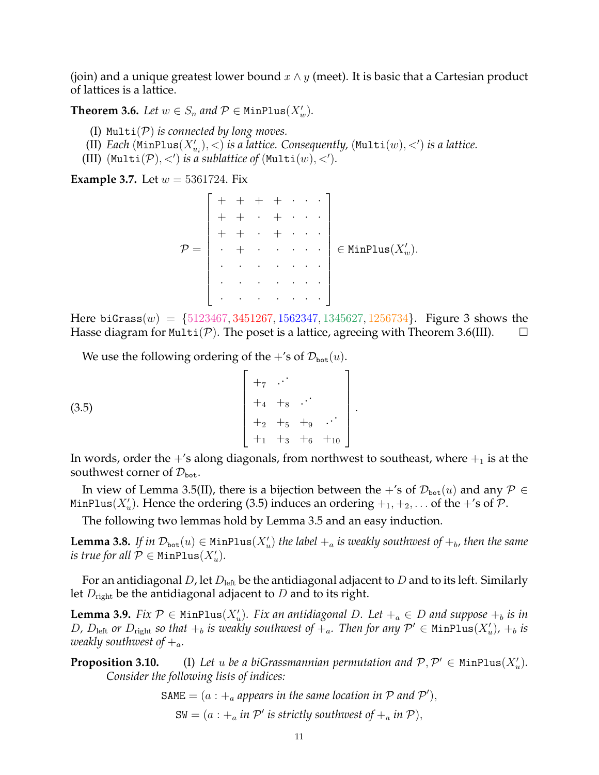(join) and a unique greatest lower bound  $x \wedge y$  (meet). It is basic that a Cartesian product of lattices is a lattice.

**Theorem 3.6.** *Let*  $w \in S_n$  *and*  $P \in \text{MinPlus}(X_w')$ *.* 

- (I) Multi(P) *is connected by long moves.*
- (II)  $\textit{Each } (\texttt{MinPlus}(X'_{u_i}), <) \textit{ is a lattice. Consequently, } (\texttt{Multi}(w), <') \textit{ is a lattice.}$
- (III) (Multi(P), <') is a sublattice of (Multi(w), <').

**Example 3.7.** Let  $w = 5361724$ . Fix

P = + + + + · · · + + · + · · · + + · + · · · · + · · · · · · · · · · · · · · · · · · · · · · · · · · ∈ MinPlus(X 0 <sup>w</sup>).

Here biGrass $(w) = \{5123467, 3451267, 1562347, 1345627, 1256734\}$ . Figure 3 shows the Hasse diagram for Multi( $P$ ). The poset is a lattice, agreeing with Theorem 3.6(III).  $\Box$ 

We use the following ordering of the +'s of  $\mathcal{D}_{\text{bot}}(u)$ .

(3.5) +<sup>7</sup> . . . +<sup>4</sup> +<sup>8</sup> . . . +<sup>2</sup> +<sup>5</sup> +<sup>9</sup> . . . +<sup>1</sup> +<sup>3</sup> +<sup>6</sup> +<sup>10</sup> .

In words, order the  $+$ 's along diagonals, from northwest to southeast, where  $+$ <sub>1</sub> is at the southwest corner of  $\mathcal{D}_{\text{bot}}$ .

In view of Lemma 3.5(II), there is a bijection between the +'s of  $\mathcal{D}_{bot}(u)$  and any  $\mathcal{P} \in$ <code>MinPlus( $X'_u$ )</code>. Hence the ordering (3.5) induces an ordering  $+_1, +_2, \ldots$  of the  $+$ 's of  ${\mathcal P}.$ 

The following two lemmas hold by Lemma 3.5 and an easy induction.

**Lemma 3.8.** If in  $\mathcal{D}_{\text{bot}}(u) \in \text{MinPlus}(X_u')$  the label  $+_a$  is weakly southwest of  $+_b$ , then the same *is true for all*  $\mathcal{P} \in \texttt{MinPlus}(X_u')$ .

For an antidiagonal D, let  $D_{\text{left}}$  be the antidiagonal adjacent to D and to its left. Similarly let  $D_{\text{right}}$  be the antidiagonal adjacent to D and to its right.

**Lemma 3.9.** *Fix*  $\mathcal{P} \in \text{MinPlus}(X_u')$ . *Fix an antidiagonal D. Let*  $+_a \in D$  *and suppose*  $+_b$  *is in* D,  $D_{\text{left}}$  or  $D_{\text{right}}$  so that  $+_b$  is weakly southwest of  $+_a$ . Then for any  $\mathcal{P}' \in \text{MinPlus}(X'_u)$ ,  $+_b$  is *weakly southwest of*  $+$ <sub>a</sub>.

**Proposition 3.10.** (I) Let u be a biGrassmannian permutation and  $P, P' \in \text{MinPlus}(X_u')$ . *Consider the following lists of indices:*

SAME = 
$$
(a : +_a
$$
 appears in the same location in P and P'),  
SW =  $(a : +_a$  in P' is strictly southwest of  $+_a$  in P),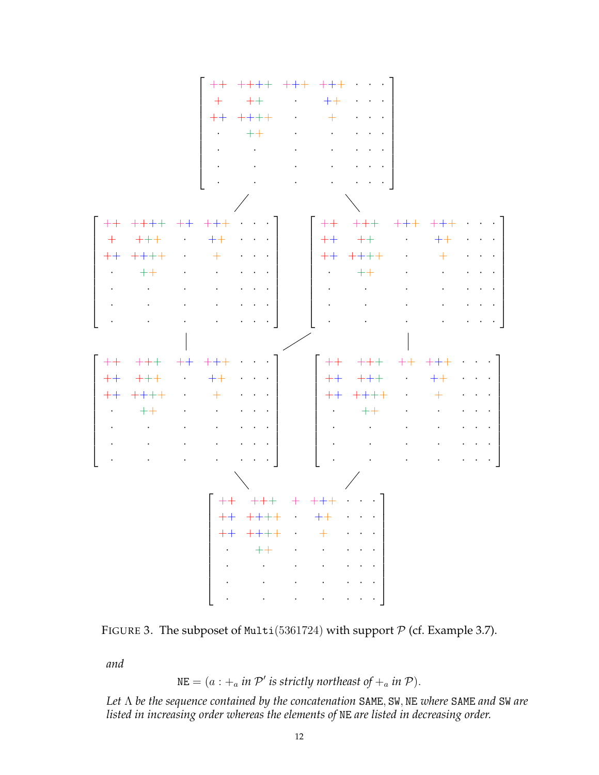| $++$<br>$+$<br>$+ + + +$<br>$\mathbf{L} = \mathbf{L}$ |  |  |  |  |  |
|-------------------------------------------------------|--|--|--|--|--|
|                                                       |  |  |  |  |  |
|                                                       |  |  |  |  |  |
|                                                       |  |  |  |  |  |
|                                                       |  |  |  |  |  |
|                                                       |  |  |  |  |  |
|                                                       |  |  |  |  |  |

| $\mathcal{L}(\mathcal{L}(\mathcal{L}(\mathcal{L}(\mathcal{L}(\mathcal{L}(\mathcal{L}(\mathcal{L}(\mathcal{L}(\mathcal{L}(\mathcal{L}(\mathcal{L}(\mathcal{L}(\mathcal{L}(\mathcal{L}(\mathcal{L}(\mathcal{L}(\mathcal{L}(\mathcal{L}(\mathcal{L}(\mathcal{L}(\mathcal{L}(\mathcal{L}(\mathcal{L}(\mathcal{L}(\mathcal{L}(\mathcal{L}(\mathcal{L}(\mathcal{L}(\mathcal{L}(\mathcal{L}(\mathcal{L}(\mathcal{L}(\mathcal{L}(\mathcal{L}(\mathcal{L}(\mathcal{$ |  |  |  |
|-------------------------------------------------------------------------------------------------------------------------------------------------------------------------------------------------------------------------------------------------------------------------------------------------------------------------------------------------------------------------------------------------------------------------------------------------------------|--|--|--|
| $\mathcal{A}$ , and $\mathcal{A}$ , and $\mathcal{A}$ , and $\mathcal{A}$ , and $\mathcal{A}$ , and $\mathcal{A}$                                                                                                                                                                                                                                                                                                                                           |  |  |  |
|                                                                                                                                                                                                                                                                                                                                                                                                                                                             |  |  |  |

|  | $\begin{bmatrix} ++ & +++ & ++ & +++ & \cdots \end{bmatrix}$                                                      |  |  |  | $+ +$ $+ + +$ $+ +$ $+ +$ $\cdot$ $\cdot$ $\cdot$                                        |  |  |  |
|--|-------------------------------------------------------------------------------------------------------------------|--|--|--|------------------------------------------------------------------------------------------|--|--|--|
|  | $++$ $++$ $++$ $++$ $--$                                                                                          |  |  |  |                                                                                          |  |  |  |
|  |                                                                                                                   |  |  |  |                                                                                          |  |  |  |
|  |                                                                                                                   |  |  |  |                                                                                          |  |  |  |
|  |                                                                                                                   |  |  |  | $\mathcal{A}=\{x_1,\ldots,x_n\}$ . The contribution of the contribution of $\mathcal{A}$ |  |  |  |
|  | $\mathcal{A}$ , and $\mathcal{A}$ , and $\mathcal{A}$ , and $\mathcal{A}$ , and $\mathcal{A}$ , and $\mathcal{A}$ |  |  |  |                                                                                          |  |  |  |
|  |                                                                                                                   |  |  |  |                                                                                          |  |  |  |
|  |                                                                                                                   |  |  |  |                                                                                          |  |  |  |
|  |                                                                                                                   |  |  |  |                                                                                          |  |  |  |

|      | $++$ $++$ $++$ $++$ |           |  |  |
|------|---------------------|-----------|--|--|
| $++$ | $+++++$             |           |  |  |
| $++$ | $+ + + +$           | $\cdot$ + |  |  |
|      |                     |           |  |  |
|      |                     |           |  |  |
|      |                     |           |  |  |
|      |                     |           |  |  |



*and*

 $NE = (a : +_a in \mathcal{P}' \text{ is strictly north east of } +_a in \mathcal{P}).$ 

*Let* Λ *be the sequence contained by the concatenation* SAME, SW, NE *where* SAME *and* SW *are listed in increasing order whereas the elements of* NE *are listed in decreasing order.*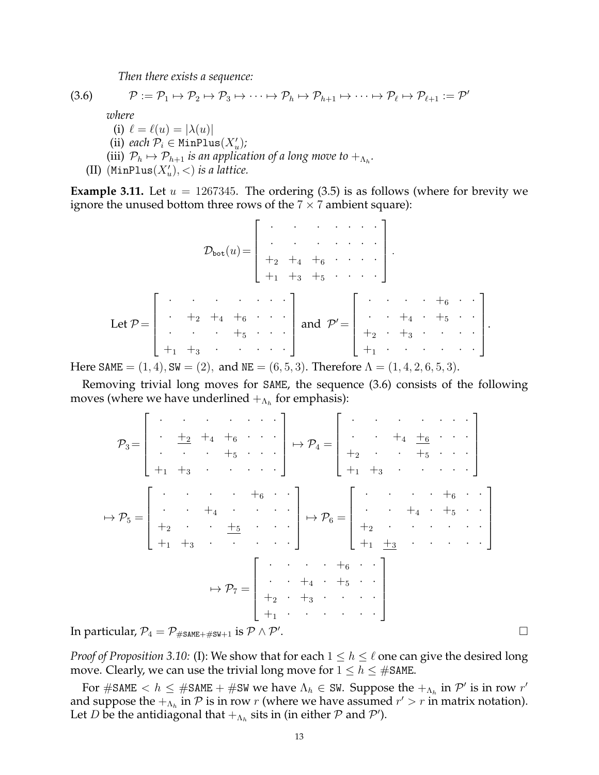*Then there exists a sequence:*

$$
(3.6) \qquad \mathcal{P} := \mathcal{P}_1 \mapsto \mathcal{P}_2 \mapsto \mathcal{P}_3 \mapsto \cdots \mapsto \mathcal{P}_h \mapsto \mathcal{P}_{h+1} \mapsto \cdots \mapsto \mathcal{P}_{\ell} \mapsto \mathcal{P}_{\ell+1} := \mathcal{P}'
$$

*where*

(i)  $\ell = \ell(u) = |\lambda(u)|$ (ii) *each*  $\mathcal{P}_i \in \text{MinPlus}(X_u')$ ; (iii)  $\mathcal{P}_h \mapsto \mathcal{P}_{h+1}$  *is an application of a long move to*  $+_{\Lambda_h}$ . (II)  $(\text{MinPlus}(X_u'), <)$  *is a lattice.* 

**Example 3.11.** Let  $u = 1267345$ . The ordering  $(3.5)$  is as follows (where for brevity we ignore the unused bottom three rows of the  $7 \times 7$  ambient square):

$$
\mathcal{D}_{\text{bot}}(u) = \begin{bmatrix} \cdot & \cdot & \cdot & \cdot & \cdot \\ \cdot & \cdot & \cdot & \cdot & \cdot \\ +_{2} +_{4} +_{6} & \cdot & \cdot & \cdot \\ +_{1} +_{3} +_{5} & \cdot & \cdot & \cdot \end{bmatrix}
$$
  
Let  $\mathcal{P} = \begin{bmatrix} \cdot & \cdot & \cdot & \cdot & \cdot \\ \cdot & \cdot & \cdot & \cdot & \cdot \\ \cdot & \cdot & \cdot & \cdot & \cdot \\ \cdot & \cdot & \cdot & \cdot & \cdot \\ +_{1} +_{3} & \cdot & \cdot & \cdot & \cdot \end{bmatrix}$  and  $\mathcal{P}' = \begin{bmatrix} \cdot & \cdot & \cdot & \cdot & \cdot & \cdot \\ \cdot & \cdot & \cdot & \cdot & \cdot & \cdot \\ +_{2} & \cdot & \cdot & \cdot & \cdot & \cdot \\ +_{3} & \cdot & \cdot & \cdot & \cdot & \cdot \end{bmatrix}$ .

Here SAME  $= (1, 4)$ , SW  $= (2)$ , and NE  $= (6, 5, 3)$ . Therefore  $\Lambda = (1, 4, 2, 6, 5, 3)$ .

Removing trivial long moves for SAME, the sequence (3.6) consists of the following moves (where we have underlined  $+_{\Lambda_h}$  for emphasis):

$$
\mathcal{P}_3 = \left[\begin{array}{cccc} \cdot & \cdot & \cdot & \cdot & \cdot & \cdot \\ \cdot & \frac{1}{2} & \frac{1}{4} & \frac{1}{4} & \frac{1}{6} & \cdots & \frac{1}{4} \\ \cdot & \cdot & \cdot & \cdot & \cdot & \cdot & \cdot \\ \cdot & \cdot & \cdot & \cdot & \cdot & \cdot & \cdot \\ \cdot & \cdot & \cdot & \cdot & \cdot & \cdot & \cdot \\ \cdot & \cdot & \cdot & \cdot & \cdot & \cdot & \cdot \\ \cdot & \cdot & \cdot & \cdot & \cdot & \cdot & \cdot \\ \cdot & \cdot & \cdot & \cdot & \cdot & \cdot & \cdot \\ \cdot & \cdot & \cdot & \cdot & \cdot & \cdot & \cdot \\ \cdot & \cdot & \cdot & \cdot & \cdot & \cdot & \cdot \\ \cdot & \cdot & \cdot & \cdot & \cdot & \cdot & \cdot \\ \cdot & \cdot & \cdot & \cdot & \cdot & \cdot & \cdot \\ \cdot & \cdot & \cdot & \cdot & \cdot & \cdot & \cdot \\ \cdot & \cdot & \cdot & \cdot & \cdot & \cdot & \cdot \\ \cdot & \cdot & \cdot & \cdot & \cdot & \cdot & \cdot \\ \cdot & \cdot & \cdot & \cdot & \cdot & \cdot & \cdot \\ \cdot & \cdot & \cdot & \cdot & \cdot & \cdot & \cdot \\ \cdot & \cdot & \cdot & \cdot & \cdot & \cdot & \cdot \end{array}\right] \rightarrow \mathcal{P}_6 = \left[\begin{array}{cccc} \cdot & \cdot & \cdot & \cdot & \cdot & \cdot & \cdot \\ \cdot & \cdot & \cdot & \cdot & \cdot & \cdot & \cdot \\ \cdot & \cdot & \cdot & \cdot & \cdot & \cdot & \cdot \\ \cdot & \cdot & \cdot & \cdot & \cdot & \cdot & \cdot \\ \cdot & \cdot & \cdot & \cdot & \cdot & \cdot & \cdot \\ \cdot & \cdot & \cdot & \cdot & \cdot & \cdot & \cdot \\ \cdot & \cdot & \cdot & \cdot & \cdot & \cdot & \cdot \\ \cdot & \cdot & \cdot & \cdot & \cdot & \cdot & \cdot \end{array}\right]
$$
\n
$$
\text{tricular, } \mathcal{P}_4 = \mathcal{P}_{\text{\#SAME+}} \#_{\text{SW}+1} \text{ is } \mathcal{P} \wedge \mathcal{P}.
$$

In particular,  $\mathcal{P}_4 = \mathcal{P}_{\# \text{SAME} + \# \text{SW} + 1}$  is  $\mathcal{P} \wedge \mathcal{P}'$ .

*Proof of Proposition 3.10:* (I): We show that for each  $1 \leq h \leq \ell$  one can give the desired long move. Clearly, we can use the trivial long move for  $1 \le h \le \text{\#SAME}.$ 

For #SAME  $< h \leq$  #SAME + #SW we have  $\Lambda_h \in$  SW. Suppose the  $+_{\Lambda_h}$  in  $\mathcal{P}'$  is in row  $r'$ and suppose the  $+_{\Lambda_h}$  in  $\mathcal P$  is in row  $r$  (where we have assumed  $r' > r$  in matrix notation). Let D be the antidiagonal that  $+_{\Lambda_h}$  sits in (in either  $\mathcal P$  and  $\mathcal P'$ ).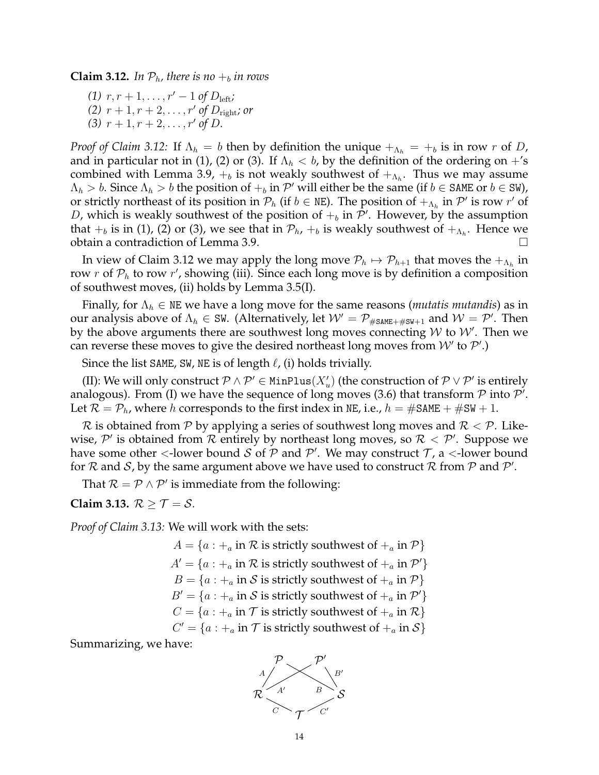**Claim 3.12.** In  $\mathcal{P}_h$ , there is no  $+_b$  in rows

*(1)*  $r, r + 1, \ldots, r' - 1$  *of*  $D_{\text{left}}$ *; (2)*  $r + 1, r + 2, \ldots, r'$  of  $D_{\text{right}}$ *; or* (3)  $r + 1, r + 2, \ldots, r'$  of *D*.

*Proof of Claim 3.12:* If  $\Lambda_h = b$  then by definition the unique  $+_{\Lambda_h} = +_b$  is in row r of D, and in particular not in (1), (2) or (3). If  $\Lambda_h < b$ , by the definition of the ordering on  $+$ 's combined with Lemma 3.9,  $+_b$  is not weakly southwest of  $+_{\Lambda_h}$ . Thus we may assume  $\Lambda_h > b$ . Since  $\Lambda_h > b$  the position of  $+_b$  in  $\mathcal{P}'$  will either be the same (if  $b \in$  SAME or  $b \in$  SW), or strictly northeast of its position in  $\mathcal{P}_h$  (if  $b \in \mathbb{NE}$ ). The position of  $+_{\Lambda_h}$  in  $\mathcal{P}'$  is row  $r'$  of D, which is weakly southwest of the position of  $+_b$  in  $\mathcal{P}'$ . However, by the assumption that  $+_b$  is in (1), (2) or (3), we see that in  $\mathcal{P}_h$ ,  $+_b$  is weakly southwest of  $+_{\Lambda_h}$ . Hence we obtain a contradiction of Lemma 3.9.

In view of Claim 3.12 we may apply the long move  $\mathcal{P}_h \mapsto \mathcal{P}_{h+1}$  that moves the  $+_{\Lambda_h}$  in row  $r$  of  $\mathcal{P}_h$  to row  $r'$ , showing (iii). Since each long move is by definition a composition of southwest moves, (ii) holds by Lemma 3.5(I).

Finally, for  $\Lambda_h \in \text{NE}$  we have a long move for the same reasons (*mutatis mutandis*) as in our analysis above of  $\Lambda_h\in\mathsf{SW}.$  (Alternatively, let  $\mathcal{W}=\mathcal{P}_{\#\mathtt{SAME}+\#\mathtt{SW}+1}$  and  $\mathcal{W}=\mathcal{P}'.$  Then by the above arguments there are southwest long moves connecting  $W$  to  $\mathcal{W}'$ . Then we can reverse these moves to give the desired northeast long moves from  $W'$  to  $\mathcal{P}'$ .)

Since the list SAME, SW, NE is of length  $\ell$ , (i) holds trivially.

(II): We will only construct  $\mathcal{P} \wedge \mathcal{P}' \in \text{MinPlus}(X_u')$  (the construction of  $\mathcal{P} \vee \mathcal{P}'$  is entirely analogous). From (I) we have the sequence of long moves (3.6) that transform  $P$  into  $P'$ . Let  $\mathcal{R} = \mathcal{P}_h$ , where h corresponds to the first index in NE, i.e.,  $h = \text{\#SAME} + \text{\#SW} + 1$ .

 $\mathcal R$  is obtained from  $\mathcal P$  by applying a series of southwest long moves and  $\mathcal R < \mathcal P$ . Likewise,  $\mathcal{P}'$  is obtained from  $\mathcal R$  entirely by northeast long moves, so  $\mathcal{R} < \mathcal{P}'$ . Suppose we have some other <-lower bound S of P and P'. We may construct T, a <-lower bound for  $R$  and  $S$ , by the same argument above we have used to construct  $R$  from  $P$  and  $P'$ .

That  $\mathcal{R} = \mathcal{P} \wedge \mathcal{P}'$  is immediate from the following:

### **Claim 3.13.**  $\mathcal{R} > \mathcal{T} = \mathcal{S}$ .

*Proof of Claim 3.13:* We will work with the sets:

 $A = \{a : +_a \text{ in } \mathcal{R} \text{ is strictly southwest of } +_a \text{ in } \mathcal{P}\}\$  $A' = \{a : +_a \text{ in } \mathcal{R} \text{ is strictly southwest of } +_a \text{ in } \mathcal{P}'\}$  $B = \{a : +_a \text{ in } \mathcal{S} \text{ is strictly southwest of } +_a \text{ in } \mathcal{P}\}\$  $B' = \{a : +_a \text{ in } \mathcal{S} \text{ is strictly southwest of } +_a \text{ in } \mathcal{P}'\}$  $C = \{a : +_a \text{ in } \mathcal{T} \text{ is strictly southwest of } +_a \text{ in } \mathcal{R}\}\$  $C' = \{a : +_a \text{ in } \mathcal{T} \text{ is strictly southwest of } +_a \text{ in } \mathcal{S}\}\$ 

Summarizing, we have:

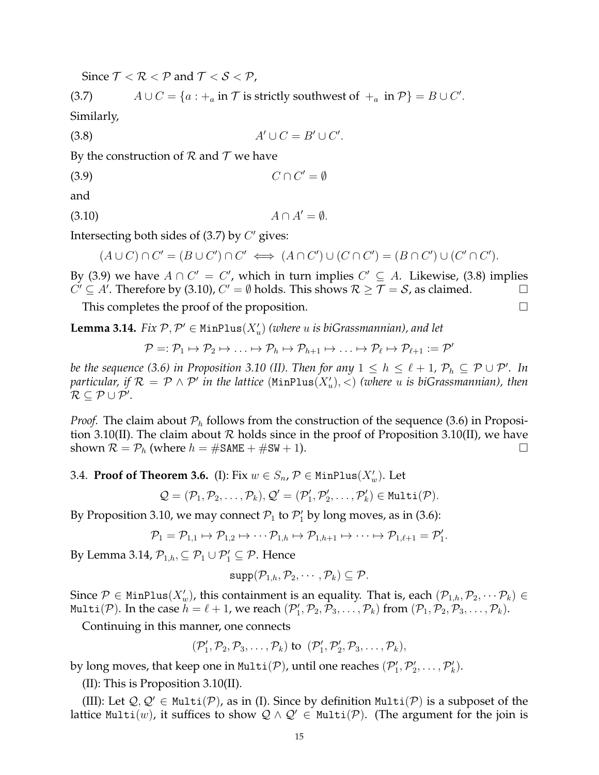Since  $T < R < P$  and  $T < S < P$ ,

(3.7) 
$$
A \cup C = \{a : +_a \text{ in } \mathcal{T} \text{ is strictly southwest of } +_a \text{ in } \mathcal{P}\} = B \cup C'.
$$

Similarly,

$$
(3.8) \t\t A' \cup C = B' \cup C'.
$$

By the construction of  $R$  and  $T$  we have

$$
(3.9) \tC \cap C' = \emptyset
$$

and

$$
(3.10) \t\t A \cap A' = \emptyset.
$$

Intersecting both sides of  $(3.7)$  by  $C'$  gives:

$$
(A \cup C) \cap C' = (B \cup C') \cap C' \iff (A \cap C') \cup (C \cap C') = (B \cap C') \cup (C' \cap C').
$$

By (3.9) we have  $A \cap C' = C'$ , which in turn implies  $C' \subseteq A$ . Likewise, (3.8) implies  $C' \subseteq A'$ . Therefore by (3.10),  $C' = \emptyset$  holds. This shows  $\mathcal{R} \geq \mathcal{T} = \mathcal{S}$ , as claimed.

This completes the proof of the proposition.  $\Box$ 

**Lemma 3.14.** *Fix*  $P, P' \in \text{MinPlus}(X_u')$  (where u is biGrassmannian), and let

$$
\mathcal{P} =: \mathcal{P}_1 \mapsto \mathcal{P}_2 \mapsto \ldots \mapsto \mathcal{P}_h \mapsto \mathcal{P}_{h+1} \mapsto \ldots \mapsto \mathcal{P}_{\ell} \mapsto \mathcal{P}_{\ell+1} := \mathcal{P}'
$$

*be the sequence (3.6) in Proposition 3.10 (II). Then for any*  $1 \leq h \leq \ell + 1$ ,  $\mathcal{P}_h \subseteq \mathcal{P} \cup \mathcal{P}'$ . In particular, if  $\mathcal{R} = \mathcal{P} \land \mathcal{P}'$  in the lattice  $(\texttt{MinPlus}(X_u'), <)$  (where  $u$  is biGrassmannian), then  $\mathcal{R} \subseteq \mathcal{P} \cup \mathcal{P}'.$ 

*Proof.* The claim about  $P_h$  follows from the construction of the sequence (3.6) in Proposition 3.10(II). The claim about  $R$  holds since in the proof of Proposition 3.10(II), we have shown  $\mathcal{R} = \mathcal{P}_h$  (where  $h = \# \text{SAME} + \# \text{SW} + 1$ ).

3.4. **Proof of Theorem 3.6.** (I): Fix  $w \in S_n$ ,  $\mathcal{P} \in \text{MinPlus}(X_w')$ . Let

$$
\mathcal{Q}=(\mathcal{P}_1,\mathcal{P}_2,\ldots,\mathcal{P}_k), \mathcal{Q}'=(\mathcal{P}'_1,\mathcal{P}'_2,\ldots,\mathcal{P}'_k)\in\texttt{Multi}(\mathcal{P}).
$$

By Proposition 3.10, we may connect  $\mathcal{P}_1$  to  $\mathcal{P}'_1$  by long moves, as in (3.6):

$$
\mathcal{P}_1 = \mathcal{P}_{1,1} \mapsto \mathcal{P}_{1,2} \mapsto \cdots \mathcal{P}_{1,h} \mapsto \mathcal{P}_{1,h+1} \mapsto \cdots \mapsto \mathcal{P}_{1,\ell+1} = \mathcal{P}'_1.
$$

By Lemma 3.14,  $\mathcal{P}_{1,h} \subseteq \mathcal{P}_1 \cup \mathcal{P}'_1 \subseteq \mathcal{P}$ . Hence

$$
supp(\mathcal{P}_{1,h}, \mathcal{P}_2, \cdots, \mathcal{P}_k) \subseteq \mathcal{P}.
$$

Since  $\mathcal{P} \in \text{MinPlus}(X'_{w})$ , this containment is an equality. That is, each  $(\mathcal{P}_{1,h},\mathcal{P}_{2},\cdots\mathcal{P}_{k})\in$ <code>Multi( $\mathcal{P}$ ). In the case  $h=\ell+1$ , we reach  $(\mathcal{P}_1',\mathcal{P}_2,\mathcal{P}_3,\ldots,\mathcal{P}_k)$  from  $(\mathcal{P}_1,\mathcal{P}_2,\mathcal{P}_3,\ldots,\mathcal{P}_k).$ </code>

Continuing in this manner, one connects

$$
(\mathcal{P}'_1, \mathcal{P}_2, \mathcal{P}_3, \ldots, \mathcal{P}_k)
$$
 to  $(\mathcal{P}'_1, \mathcal{P}'_2, \mathcal{P}_3, \ldots, \mathcal{P}_k)$ ,

by long moves, that keep one in Multi $(\mathcal{P})$ , until one reaches  $(\mathcal{P}_1', \mathcal{P}_2', \ldots, \mathcal{P}_k').$ 

(II): This is Proposition 3.10(II).

(III): Let  $Q, Q' \in \text{Multi}(\mathcal{P})$ , as in (I). Since by definition Multi( $\mathcal{P}$ ) is a subposet of the lattice Multi(w), it suffices to show  $Q \wedge Q' \in \text{Multi}(\mathcal{P})$ . (The argument for the join is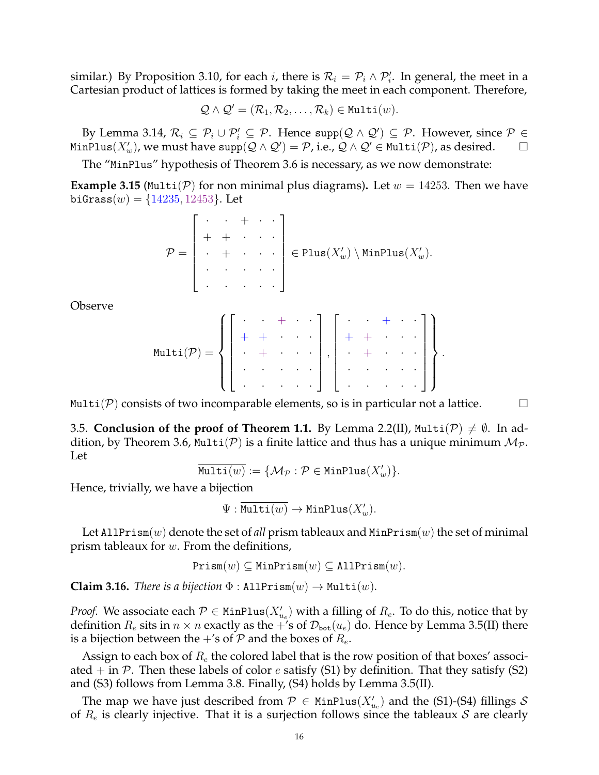similar.) By Proposition 3.10, for each *i*, there is  $\mathcal{R}_i = \mathcal{P}_i \wedge \mathcal{P}'_i$ . In general, the meet in a Cartesian product of lattices is formed by taking the meet in each component. Therefore,

$$
\mathcal{Q} \wedge \mathcal{Q}' = (\mathcal{R}_1, \mathcal{R}_2, \ldots, \mathcal{R}_k) \in \texttt{Multi}(w).
$$

By Lemma 3.14,  $\mathcal{R}_i \subseteq \mathcal{P}_i \cup \mathcal{P}'_i \subseteq \mathcal{P}$ . Hence supp $(\mathcal{Q} \wedge \mathcal{Q}') \subseteq \mathcal{P}$ . However, since  $\mathcal{P} \in$ MinPlus $(X'_w)$ , we must have  ${\rm supp}({\cal Q}\wedge {\cal Q}')={\cal P}$ , i.e.,  ${\cal Q}\wedge {\cal Q}'\in{\rm Multi}({\cal P})$ , as desired.  $\hskip10mm\square$ 

The "MinPlus" hypothesis of Theorem 3.6 is necessary, as we now demonstrate:

**Example 3.15** (Multi(P) for non minimal plus diagrams). Let  $w = 14253$ . Then we have biGrass $(w) = \{14235, 12453\}$ . Let

$$
\mathcal{P} = \left[\begin{array}{cccc} \cdot & \cdot & \cdot & \cdot & \cdot \\ \cdot & \cdot & \cdot & \cdot & \cdot \\ \cdot & \cdot & \cdot & \cdot & \cdot \\ \cdot & \cdot & \cdot & \cdot & \cdot \\ \cdot & \cdot & \cdot & \cdot & \cdot \end{array}\right] \in \text{Plus}(X_w') \setminus \text{MinPlus}(X_w').
$$

Observe

$$
\text{Multi}(\mathcal{P}) = \left\{ \left[ \begin{array}{cccc} \cdot & \cdot & + & \cdot & \cdot \\ \cdot & + & \cdot & \cdot & \cdot \\ \cdot & \cdot & \cdot & \cdot & \cdot \\ \cdot & \cdot & \cdot & \cdot & \cdot \end{array} \right], \left[ \begin{array}{cccc} \cdot & \cdot & + & \cdot & \cdot \\ \cdot & + & \cdot & \cdot & \cdot \\ \cdot & \cdot & \cdot & \cdot & \cdot \end{array} \right] \right\}.
$$

Multi(P) consists of two incomparable elements, so is in particular not a lattice.  $\Box$ 

3.5. **Conclusion of the proof of Theorem 1.1.** By Lemma 2.2(II), Multi( $\mathcal{P}$ )  $\neq \emptyset$ . In addition, by Theorem 3.6, Multi(P) is a finite lattice and thus has a unique minimum  $M_p$ . Let

$$
\overline{\texttt{Multi}(w)} := \{\mathcal{M}_{\mathcal{P}} : \mathcal{P} \in \texttt{MinPlus}(X'_w)\}.
$$

Hence, trivially, we have a bijection

 $\Psi: \overline{{\texttt{Multi}(w)}} \to {\texttt{MinPlus}}(X'_w).$ 

Let AllPrism $(w)$  denote the set of *all* prism tableaux and  $MinPrism(w)$  the set of minimal prism tableaux for w. From the definitions,

$$
\mathtt{Prism}(w) \subseteq \mathtt{MinPrism}(w) \subseteq \mathtt{AllPrism}(w).
$$

**Claim 3.16.** *There is a bijection*  $\Phi$  : AllPrism $(w) \rightarrow \text{Multi}(w)$ *.* 

*Proof.* We associate each  $\mathcal{P} \in \text{MinPlus}(X_{u_e}')$  with a filling of  $R_e$ . To do this, notice that by definition  $R_e$  sits in  $n \times n$  exactly as the +'s of  $\mathcal{D}_{\text{bot}}(u_e)$  do. Hence by Lemma 3.5(II) there is a bijection between the  $+$ 's of  $P$  and the boxes of  $R_e$ .

Assign to each box of  $R_e$  the colored label that is the row position of that boxes' associated  $+$  in  $\mathcal{P}$ . Then these labels of color *e* satisfy (S1) by definition. That they satisfy (S2) and (S3) follows from Lemma 3.8. Finally, (S4) holds by Lemma 3.5(II).

The map we have just described from  $\mathcal{P} \in \text{MinPlus}(X_{u_e}')$  and the (S1)-(S4) fillings  $\mathcal{S}$ of  $R_e$  is clearly injective. That it is a surjection follows since the tableaux S are clearly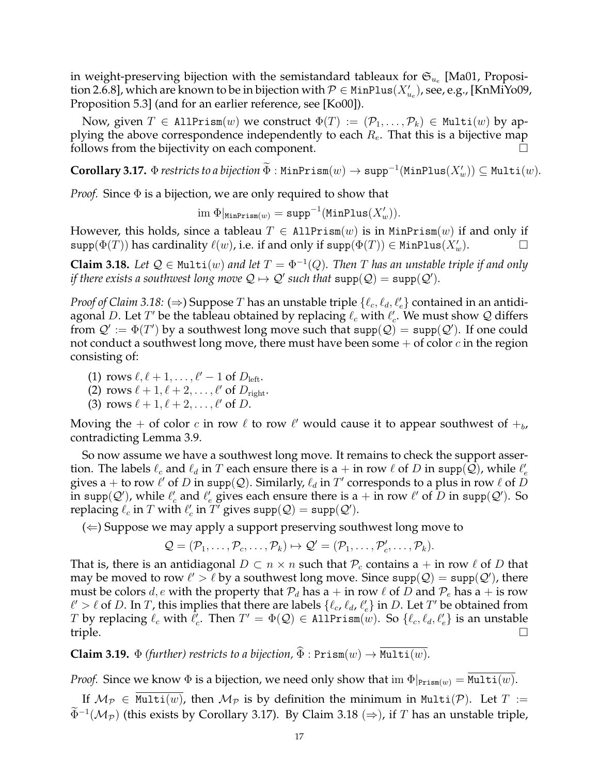in weight-preserving bijection with the semistandard tableaux for  $\mathfrak{S}_{u_e}$  [Ma01, Proposition 2.6.8], which are known to be in bijection with  $\mathcal{P}\in \texttt{MinPlus}(X_{u_e}'),$  see, e.g., [KnMiYo09, Proposition 5.3] (and for an earlier reference, see [Ko00]).

Now, given  $T \in$  AllPrism $(w)$  we construct  $\Phi(T) := (\mathcal{P}_1, \ldots, \mathcal{P}_k) \in$  Multi $(w)$  by applying the above correspondence independently to each  $R_e$ . That this is a bijective map follows from the bijectivity on each component.

 $\mathbf{Corollary\ 3.17.} \ \Phi$  *restricts to a bijection*  $\Phi$  : MinPrism $(w) \to \mathrm{supp}^{-1}(\mathtt{MinPlus}(X'_w)) \subseteq \mathtt{Multi}(w).$ 

*Proof.* Since  $\Phi$  is a bijection, we are only required to show that

$$
\mathrm{im}\; \Phi|_{\mathtt{MinPrism}(w)} = \mathtt{supp}^{-1}(\mathtt{MinPlus}(X'_w)).
$$

However, this holds, since a tableau  $T \in$  AllPrism $(w)$  is in MinPrism $(w)$  if and only if  $\text{supp}(\Phi(T))$  has cardinality  $\ell(w)$ , i.e. if and only if  $\text{supp}(\Phi(T)) \in \text{MinPlus}(X_w')$ .

**Claim 3.18.** Let  $\mathcal{Q} \in \text{Multi}(w)$  and let  $T = \Phi^{-1}(Q)$ . Then T has an unstable triple if and only *if there exists a southwest long move*  $Q \mapsto Q'$  such that  $\text{supp}(Q) = \text{supp}(Q').$ 

*Proof of Claim 3.18:* ( $\Rightarrow$ ) Suppose  $T$  has an unstable triple  $\{\ell_c, \ell_d, \ell'_e\}$  contained in an antidiagonal D. Let  $T'$  be the tableau obtained by replacing  $\ell_c$  with  $\ell_c'$ . We must show  $\mathcal Q$  differs from  $\mathcal{Q}' := \Phi(T')$  by a southwest long move such that  $\text{supp}(\mathcal{Q}) = \text{supp}(\mathcal{Q}')$ . If one could not conduct a southwest long move, there must have been some  $+$  of color  $c$  in the region consisting of:

- (1) rows  $\ell, \ell + 1, \ldots, \ell' 1$  of  $D_{\text{left}}$ .
- (2) rows  $\ell + 1, \ell + 2, \ldots, \ell'$  of  $D_{\text{right}}$ .
- (3) rows  $\ell + 1, \ell + 2, \ldots, \ell'$  of D.

Moving the + of color c in row  $\ell$  to row  $\ell'$  would cause it to appear southwest of  $+_b$ , contradicting Lemma 3.9.

So now assume we have a southwest long move. It remains to check the support assertion. The labels  $\ell_c$  and  $\ell_d$  in  $T$  each ensure there is a + in row  $\ell$  of  $D$  in supp( $\tilde{Q}$ ), while  $\ell'_e$ gives a + to row  $\ell'$  of  $D$  in supp(Q). Similarly,  $\ell_d$  in  $T'$  corresponds to a plus in row  $\ell$  of  $D$ in supp $(Q')$ , while  $\ell'_c$  and  $\ell'_e$  gives each ensure there is a + in row  $\ell'$  of  $\overline{D}$  in supp $(Q')$ . So replacing  $\ell_c$  in  $T$  with  $\ell'_c$  in  $T'$  gives  $\text{supp}(\mathcal{Q}) = \text{supp}(\mathcal{Q}').$ 

 $(\Leftarrow)$  Suppose we may apply a support preserving southwest long move to

$$
\mathcal{Q}=(\mathcal{P}_1,\ldots,\mathcal{P}_c,\ldots,\mathcal{P}_k)\mapsto \mathcal{Q}'=(\mathcal{P}_1,\ldots,\mathcal{P}_c',\ldots,\mathcal{P}_k).
$$

That is, there is an antidiagonal  $D \subset n \times n$  such that  $P_c$  contains a + in row  $\ell$  of D that may be moved to row  $\ell' > \ell$  by a southwest long move. Since  $\text{supp}(\mathcal{Q}) = \text{supp}(\mathcal{Q}')$ , there must be colors d, e with the property that  $P_d$  has a + in row  $\ell$  of D and  $P_e$  has a + is row  $\ell' > \ell$  of D. In T, this implies that there are labels  $\{\ell_c, \ell_d, \ell'_e\}$  in D. Let T' be obtained from T by replacing  $\ell_c$  with  $\ell_c'$ . Then  $T' = \Phi(\mathcal{Q}) \in \texttt{AllPrism}(w)$ . So  $\{\ell_c, \ell_d, \ell_e'\}$  is an unstable triple.  $\Box$ 

**Claim 3.19.**  $\Phi$  *(further) restricts to a bijection,*  $\widehat{\Phi}$  :  $\text{Prism}(w) \rightarrow \overline{\text{Multi}(w)}$ *.* 

*Proof.* Since we know  $\Phi$  is a bijection, we need only show that im  $\Phi|_{\text{Prism}(w)} = \text{Multi}(w)$ .

If  $M_{\mathcal{P}} \in \text{Multi}(w)$ , then  $M_{\mathcal{P}}$  is by definition the minimum in Multi(P). Let  $T :=$  $\tilde{\Phi}^{-1}(\mathcal{M}_{\mathcal{P}})$  (this exists by Corollary 3.17). By Claim 3.18 (⇒), if  $T$  has an unstable triple,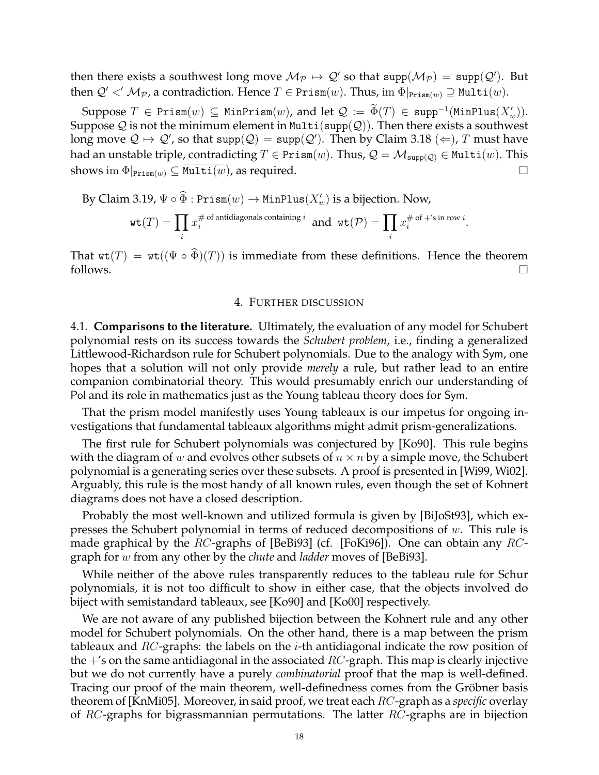then there exists a southwest long move  $\mathcal{M}_{\mathcal{P}} \mapsto \mathcal{Q}'$  so that  $\text{supp}(\mathcal{M}_{\mathcal{P}}) = \text{supp}(\mathcal{Q}')$ . But then  $Q' < M_{\mathcal{P}}$ , a contradiction. Hence  $T \in \text{Prism}(w)$ . Thus, im  $\Phi|_{\text{Prism}(w)} \supseteq \text{Multi}(w)$ .

Suppose  $T \in \text{Prism}(w) \subseteq \text{MinPrism}(w)$ , and let  $\mathcal{Q} := \tilde{\Phi}(T) \in \text{supp}^{-1}(\text{MinPlus}(X_w')).$ Suppose  $Q$  is not the minimum element in Multi(supp( $Q$ )). Then there exists a southwest long move  $\mathcal{Q} \mapsto \mathcal{Q}'$ , so that  $\mathsf{supp}(\mathcal{Q}) = \mathsf{supp}(\mathcal{Q}').$  Then by Claim 3.18  $(\Leftarrow)$ ,  $T$  must have had an unstable triple, contradicting  $T \in \text{Prism}(w)$ . Thus,  $\mathcal{Q} = \mathcal{M}_{\text{supp}(\mathcal{Q})} \in \text{Multi}(w)$ . This shows im  $\Phi|_{\text{Prism}(w)} \subseteq \text{Multi}(w)$ , as required.

By Claim 3.19,  $\Psi \circ \widehat{\Phi}$  :  $\texttt{Prism}(w) \to \texttt{MinPlus}(X'_w)$  is a bijection. Now,

$$
\text{wt}(T) = \prod_i x_i^{\# \text{ of antidiagonals containing } i} \text{ and } \text{wt}(\mathcal{P}) = \prod_i x_i^{\# \text{ of } + \text{'s in row } i}.
$$

That  $wt(T) = wt((\Psi \circ \widehat{\Phi})(T))$  is immediate from these definitions. Hence the theorem follows. follows.  $\square$ 

#### 4. FURTHER DISCUSSION

4.1. **Comparisons to the literature.** Ultimately, the evaluation of any model for Schubert polynomial rests on its success towards the *Schubert problem*, i.e., finding a generalized Littlewood-Richardson rule for Schubert polynomials. Due to the analogy with Sym, one hopes that a solution will not only provide *merely* a rule, but rather lead to an entire companion combinatorial theory. This would presumably enrich our understanding of Pol and its role in mathematics just as the Young tableau theory does for Sym.

That the prism model manifestly uses Young tableaux is our impetus for ongoing investigations that fundamental tableaux algorithms might admit prism-generalizations.

The first rule for Schubert polynomials was conjectured by [Ko90]. This rule begins with the diagram of w and evolves other subsets of  $n \times n$  by a simple move, the Schubert polynomial is a generating series over these subsets. A proof is presented in [Wi99, Wi02]. Arguably, this rule is the most handy of all known rules, even though the set of Kohnert diagrams does not have a closed description.

Probably the most well-known and utilized formula is given by [BiJoSt93], which expresses the Schubert polynomial in terms of reduced decompositions of  $w$ . This rule is made graphical by the RC-graphs of [BeBi93] (cf. [FoKi96]). One can obtain any RCgraph for w from any other by the *chute* and *ladder* moves of [BeBi93].

While neither of the above rules transparently reduces to the tableau rule for Schur polynomials, it is not too difficult to show in either case, that the objects involved do biject with semistandard tableaux, see [Ko90] and [Ko00] respectively.

We are not aware of any published bijection between the Kohnert rule and any other model for Schubert polynomials. On the other hand, there is a map between the prism tableaux and  $RC$ -graphs: the labels on the *i*-th antidiagonal indicate the row position of the  $+$ 's on the same antidiagonal in the associated  $RC$ -graph. This map is clearly injective but we do not currently have a purely *combinatorial* proof that the map is well-defined. Tracing our proof of the main theorem, well-definedness comes from the Gröbner basis theorem of [KnMi05]. Moreover, in said proof, we treat each RC-graph as a *specific* overlay of  $RC$ -graphs for bigrassmannian permutations. The latter  $RC$ -graphs are in bijection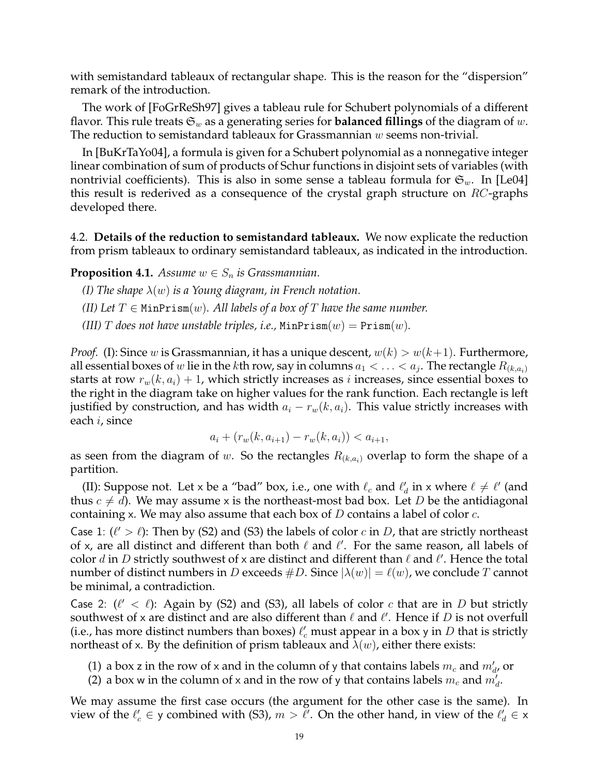with semistandard tableaux of rectangular shape. This is the reason for the "dispersion" remark of the introduction.

The work of [FoGrReSh97] gives a tableau rule for Schubert polynomials of a different flavor. This rule treats  $\mathfrak{S}_w$  as a generating series for **balanced fillings** of the diagram of w. The reduction to semistandard tableaux for Grassmannian  $w$  seems non-trivial.

In [BuKrTaYo04], a formula is given for a Schubert polynomial as a nonnegative integer linear combination of sum of products of Schur functions in disjoint sets of variables (with nontrivial coefficients). This is also in some sense a tableau formula for  $\mathfrak{S}_w$ . In [Le04] this result is rederived as a consequence of the crystal graph structure on  $RC$ -graphs developed there.

4.2. **Details of the reduction to semistandard tableaux.** We now explicate the reduction from prism tableaux to ordinary semistandard tableaux, as indicated in the introduction.

**Proposition 4.1.** *Assume*  $w \in S_n$  *is Grassmannian.* 

- *(I) The shape* λ(w) *is a Young diagram, in French notation.*
- *(II)* Let  $T \in \text{MinPrism}(w)$ . All labels of a box of T have the same number.
- *(III) T* does not have unstable triples, i.e.,  $MinPrism(w) = Prism(w)$ .

*Proof.* (I): Since w is Grassmannian, it has a unique descent,  $w(k) > w(k+1)$ . Furthermore, all essential boxes of  $w$  lie in the  $k$ th row, say in columns  $a_1 < \ldots < a_j.$  The rectangle  $R_{(k,a_i)}$ starts at row  $r_w(k, a_i) + 1$ , which strictly increases as i increases, since essential boxes to the right in the diagram take on higher values for the rank function. Each rectangle is left justified by construction, and has width  $a_i - r_w(k, a_i)$ . This value strictly increases with each i, since

$$
a_i + (r_w(k, a_{i+1}) - r_w(k, a_i)) < a_{i+1},
$$

as seen from the diagram of w. So the rectangles  $R_{(k,a_i)}$  overlap to form the shape of a partition.

(II): Suppose not. Let x be a "bad" box, i.e., one with  $\ell_c$  and  $\ell'_d$  in x where  $\ell \neq \ell'$  (and thus  $c \neq d$ ). We may assume x is the northeast-most bad box. Let D be the antidiagonal containing x. We may also assume that each box of  $D$  contains a label of color  $c$ .

Case 1:  $(\ell' > \ell)$ : Then by (S2) and (S3) the labels of color c in D, that are strictly northeast of x, are all distinct and different than both  $\ell$  and  $\ell'$ . For the same reason, all labels of color d in D strictly southwest of x are distinct and different than  $\ell$  and  $\ell'$ . Hence the total number of distinct numbers in D exceeds  $\#D$ . Since  $|\lambda(w)| = \ell(w)$ , we conclude T cannot be minimal, a contradiction.

Case 2:  $(\ell' < \ell)$ : Again by (S2) and (S3), all labels of color c that are in D but strictly southwest of x are distinct and are also different than  $\ell$  and  $\ell'$ . Hence if  $D$  is not overfull (i.e., has more distinct numbers than boxes)  $\ell_c'$  must appear in a box y in D that is strictly northeast of x. By the definition of prism tableaux and  $\lambda(w)$ , either there exists:

- (1) a box z in the row of x and in the column of y that contains labels  $m_c$  and  $m_d$ , or
- (2) a box w in the column of x and in the row of y that contains labels  $m_c$  and  $m_d$ .

We may assume the first case occurs (the argument for the other case is the same). In view of the  $\ell'_{c} \in$  y combined with (S3),  $m > \ell'$ . On the other hand, in view of the  $\ell'_{d} \in$  x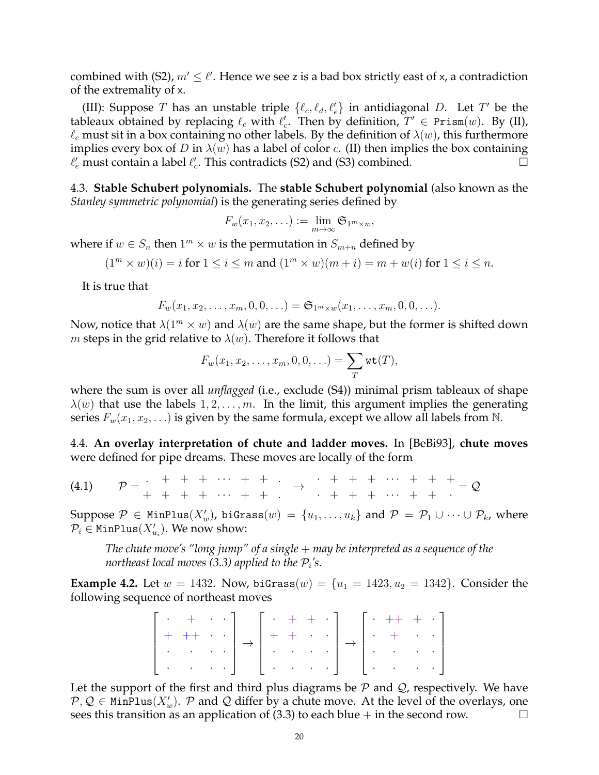combined with (S2),  $m' \leq \ell'$ . Hence we see z is a bad box strictly east of x, a contradiction of the extremality of x.

(III): Suppose T has an unstable triple  $\{ \ell_c, \ell_d, \ell'_e \}$  in antidiagonal D. Let T' be the tableaux obtained by replacing  $\ell_c$  with  $\ell_c'$ . Then by definition,  $T' \in \text{Prism}(w)$ . By (II),  $\ell_c$  must sit in a box containing no other labels. By the definition of  $\lambda(w)$ , this furthermore implies every box of D in  $\lambda(w)$  has a label of color c. (II) then implies the box containing  $\ell'_{e}$  must contain a label  $\ell'_{c}$ . This contradicts (S2) and (S3) combined.

4.3. **Stable Schubert polynomials.** The **stable Schubert polynomial** (also known as the *Stanley symmetric polynomial*) is the generating series defined by

$$
F_w(x_1, x_2, \ldots) := \lim_{m \to \infty} \mathfrak{S}_{1^m \times w},
$$

where if  $w \in S_n$  then  $1^m \times w$  is the permutation in  $S_{m+n}$  defined by

$$
(1m \times w)(i) = i
$$
 for  $1 \le i \le m$  and  $(1m \times w)(m + i) = m + w(i)$  for  $1 \le i \le n$ .

It is true that

$$
F_w(x_1, x_2, \ldots, x_m, 0, 0, \ldots) = \mathfrak{S}_{1^m \times w}(x_1, \ldots, x_m, 0, 0, \ldots).
$$

Now, notice that  $\lambda(1^m \times w)$  and  $\lambda(w)$  are the same shape, but the former is shifted down *m* steps in the grid relative to  $\lambda(w)$ . Therefore it follows that

$$
F_w(x_1, x_2, \ldots, x_m, 0, 0, \ldots) = \sum_T \text{wt}(T),
$$

where the sum is over all *unflagged* (i.e., exclude (S4)) minimal prism tableaux of shape  $\lambda(w)$  that use the labels  $1, 2, \ldots, m$ . In the limit, this argument implies the generating series  $F_w(x_1, x_2, ...)$  is given by the same formula, except we allow all labels from N.

4.4. **An overlay interpretation of chute and ladder moves.** In [BeBi93], **chute moves** were defined for pipe dreams. These moves are locally of the form

 $(4.1) \qquad \mathcal{P}=$ .  $+ + + \cdots + +$  .  $+ + + + \cdots + + \; .$ → · + + + · · · + + +  $+ + + + \cdots + + + \cdot$  $= \mathcal{Q}$ 

Suppose  $\mathcal{P} \in \texttt{MinPlus}(X'_w)$ , biGrass $(w) \,=\, \{u_1, \ldots, u_k\}$  and  $\mathcal{P} \,=\, \mathcal{P}_1 \cup \cdots \cup \mathcal{P}_k$ , where  $\mathcal{P}_i$   $\in$  <code>MinPlus( $X'_{u_i}$ ).</sup> We now show:  $\,$ </code>

*The chute move's "long jump" of a single*  $+$  *may be interpreted as a sequence of the northeast local moves (3.3) applied to the*  $\mathcal{P}_i$ *'s.* 

**Example 4.2.** Let  $w = 1432$ . Now, biGrass $(w) = \{u_1 = 1423, u_2 = 1342\}$ . Consider the following sequence of northeast moves

$$
\left[\begin{array}{cccc} \cdot & + & \cdot & \cdot \\ + & + + & \cdot & \cdot \\ \cdot & \cdot & \cdot & \cdot \end{array}\right] \rightarrow \left[\begin{array}{cccc} \cdot & + & + & \cdot \\ + & + & \cdot & \cdot \\ \cdot & \cdot & \cdot & \cdot \end{array}\right] \rightarrow \left[\begin{array}{cccc} \cdot & + + & + & \cdot \\ \cdot & + & \cdot & \cdot \\ \cdot & \cdot & \cdot & \cdot \end{array}\right]
$$

Let the support of the first and third plus diagrams be  $P$  and  $Q$ , respectively. We have  $\mathcal{P}, \mathcal{Q} \in \texttt{MinPlus}(X_w'.\ \mathcal{P} \text{ and } \mathcal{Q} \text{ differ by a chute move. At the level of the overlaps, one}$ sees this transition as an application of  $(3.3)$  to each blue  $+$  in the second row.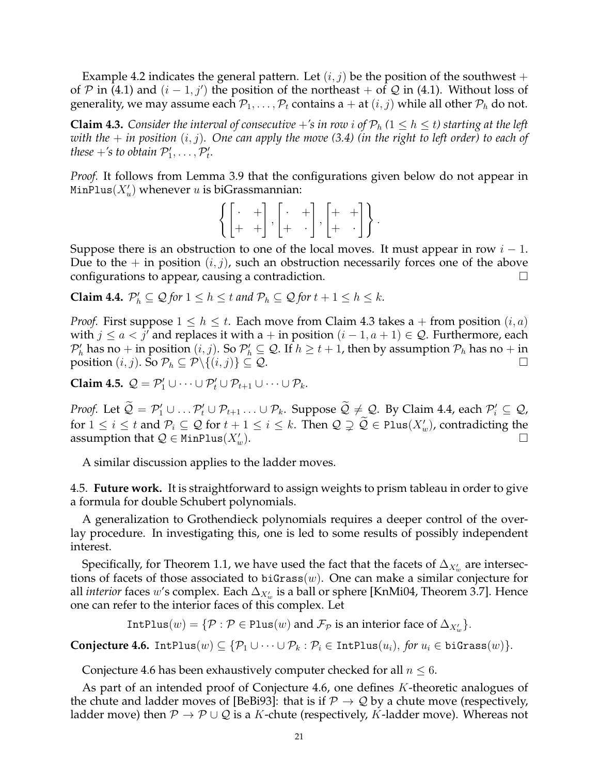Example 4.2 indicates the general pattern. Let  $(i, j)$  be the position of the southwest + of P in (4.1) and  $(i - 1, j')$  the position of the northeast + of Q in (4.1). Without loss of generality, we may assume each  $P_1, \ldots, P_t$  contains a + at  $(i, j)$  while all other  $P_h$  do not.

**Claim 4.3.** *Consider the interval of consecutive*  $+$ 's *in row i of*  $P_h$  ( $1 \leq h \leq t$ ) *starting at the left with the*  $+$  *in position*  $(i, j)$ *. One can apply the move* (3.4) (*in the right to left order*) to each of *these*  $+$ 's to obtain  $\mathcal{P}'_1, \ldots, \mathcal{P}'_t$ .

*Proof.* It follows from Lemma 3.9 that the configurations given below do not appear in <code>MinPlus</code> $(X'_u)$  whenever  $u$  is biGrassmannian:

$$
\left\{\begin{bmatrix} \cdot & + \\ + & + \end{bmatrix}, \begin{bmatrix} \cdot & + \\ + & \cdot \end{bmatrix}, \begin{bmatrix} + & + \\ + & \cdot \end{bmatrix}\right\}.
$$

Suppose there is an obstruction to one of the local moves. It must appear in row  $i - 1$ . Due to the  $+$  in position  $(i, j)$ , such an obstruction necessarily forces one of the above configurations to appear, causing a contradiction.

**Claim 4.4.**  $\mathcal{P}'_h \subseteq \mathcal{Q}$  for  $1 \leq h \leq t$  and  $\mathcal{P}_h \subseteq \mathcal{Q}$  for  $t + 1 \leq h \leq k$ .

*Proof.* First suppose  $1 \leq h \leq t$ . Each move from Claim 4.3 takes a + from position  $(i, a)$ with  $j \le a < j'$  and replaces it with a + in position  $(i - 1, a + 1) \in \mathcal{Q}$ . Furthermore, each  $\mathcal{P}'_h$  has no + in position  $(i,j)$ . So  $\mathcal{P}'_h\subseteq\mathcal{Q}$ . If  $h\ge t+1$ , then by assumption  $\mathcal{P}_h$  has no + in position  $(i, j)$ . So  $\mathcal{P}_h \subseteq \mathcal{P} \setminus \{(i, j)\} \subseteq \mathcal{Q}$ .

**Claim 4.5.**  $Q = P'_1 \cup \cdots \cup P'_t \cup P_{t+1} \cup \cdots \cup P_k$ .

*Proof.* Let  $\mathcal{Q} = \mathcal{P}'_1 \cup \ldots \mathcal{P}'_t \cup \mathcal{P}_{t+1} \ldots \cup \mathcal{P}_k$ . Suppose  $\mathcal{Q} \neq \mathcal{Q}$ . By Claim 4.4, each  $\mathcal{P}'_i \subseteq \mathcal{Q}$ , for  $1 \leq i \leq t$  and  $\mathcal{P}_i \subseteq \mathcal{Q}$  for  $t + 1 \leq i \leq k$ . Then  $\mathcal{Q} \supsetneq \widetilde{\mathcal{Q}} \in \text{Plus}(X_w')$ , contradicting the assumption that  $Q \in \text{MinPlus}(X_w')$ .  $\mathcal{L}_{w}$ ).

A similar discussion applies to the ladder moves.

4.5. **Future work.** It is straightforward to assign weights to prism tableau in order to give a formula for double Schubert polynomials.

A generalization to Grothendieck polynomials requires a deeper control of the overlay procedure. In investigating this, one is led to some results of possibly independent interest.

Specifically, for Theorem 1.1, we have used the fact that the facets of  $\Delta_{X_w'}$  are intersections of facets of those associated to biGrass $(w)$ . One can make a similar conjecture for all *interior* faces w's complex. Each  $\Delta_{X_w'}$  is a ball or sphere [KnMi04, Theorem 3.7]. Hence one can refer to the interior faces of this complex. Let

IntPlus $(w) = \{ \mathcal{P} : \mathcal{P} \in \text{Plus}(w) \text{ and } \mathcal{F}_{\mathcal{P}} \text{ is an interior face of } \Delta_{X_w'} \}.$ 

**Conjecture 4.6.** IntPlus $(w) \subseteq {\mathcal{P}_1 \cup \cdots \cup \mathcal{P}_k : \mathcal{P}_i \in \text{IntPlus}(u_i), \text{ for } u_i \in \text{biGrass}(w)}$ .

Conjecture 4.6 has been exhaustively computer checked for all  $n \leq 6$ .

As part of an intended proof of Conjecture 4.6, one defines K-theoretic analogues of the chute and ladder moves of [BeBi93]: that is if  $P \rightarrow Q$  by a chute move (respectively, ladder move) then  $\mathcal{P} \to \mathcal{P} \cup \mathcal{Q}$  is a K-chute (respectively, K-ladder move). Whereas not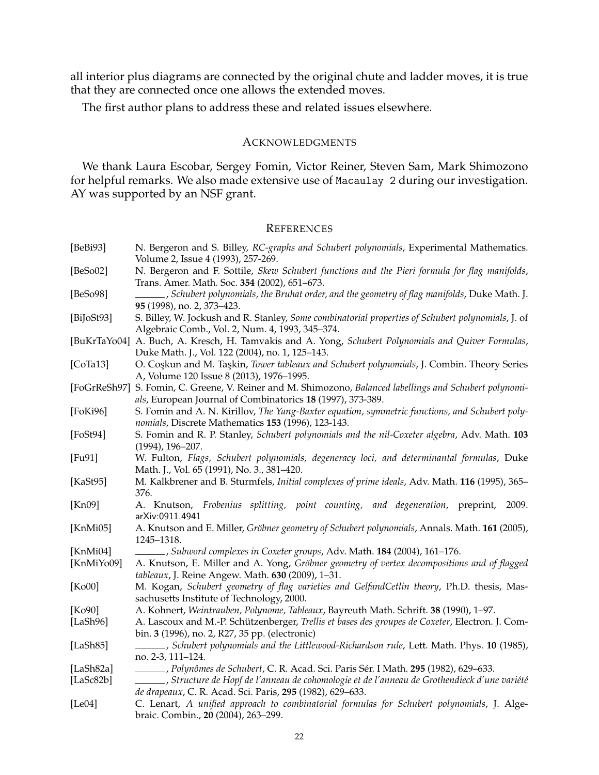all interior plus diagrams are connected by the original chute and ladder moves, it is true that they are connected once one allows the extended moves.

The first author plans to address these and related issues elsewhere.

## ACKNOWLEDGMENTS

We thank Laura Escobar, Sergey Fomin, Victor Reiner, Steven Sam, Mark Shimozono for helpful remarks. We also made extensive use of Macaulay 2 during our investigation. AY was supported by an NSF grant.

### **REFERENCES**

| [BeBi93]                             | N. Bergeron and S. Billey, RC-graphs and Schubert polynomials, Experimental Mathematics.                                                              |
|--------------------------------------|-------------------------------------------------------------------------------------------------------------------------------------------------------|
| [ $BeSoO2$ ]                         | Volume 2, Issue 4 (1993), 257-269.<br>N. Bergeron and F. Sottile, Skew Schubert functions and the Pieri formula for flag manifolds,                   |
|                                      | Trans. Amer. Math. Soc. 354 (2002), 651-673.                                                                                                          |
| [BeSo98]                             | _, Schubert polynomials, the Bruhat order, and the geometry of flag manifolds, Duke Math. J.                                                          |
|                                      | 95 (1998), no. 2, 373-423.                                                                                                                            |
| [BiJ <sub>0</sub> St <sub>93</sub> ] | S. Billey, W. Jockush and R. Stanley, Some combinatorial properties of Schubert polynomials, J. of<br>Algebraic Comb., Vol. 2, Num. 4, 1993, 345-374. |
| [BuKrTaYo04]                         | A. Buch, A. Kresch, H. Tamvakis and A. Yong, Schubert Polynomials and Quiver Formulas,                                                                |
|                                      | Duke Math. J., Vol. 122 (2004), no. 1, 125-143.                                                                                                       |
| [CoTa13]                             | O. Coskun and M. Taskin, Tower tableaux and Schubert polynomials, J. Combin. Theory Series                                                            |
|                                      | A, Volume 120 Issue 8 (2013), 1976-1995.                                                                                                              |
| [FoGrReSh97]                         | S. Fomin, C. Greene, V. Reiner and M. Shimozono, Balanced labellings and Schubert polynomi-                                                           |
|                                      | als, European Journal of Combinatorics 18 (1997), 373-389.                                                                                            |
| [FoKi96]                             | S. Fomin and A. N. Kirillov, The Yang-Baxter equation, symmetric functions, and Schubert poly-                                                        |
|                                      | nomials, Discrete Mathematics 153 (1996), 123-143.                                                                                                    |
| [FeSt94]                             | S. Fomin and R. P. Stanley, Schubert polynomials and the nil-Coxeter algebra, Adv. Math. 103                                                          |
|                                      | $(1994)$ , $196 - 207$ .                                                                                                                              |
| [Fu91]                               | W. Fulton, Flags, Schubert polynomials, degeneracy loci, and determinantal formulas, Duke                                                             |
|                                      | Math. J., Vol. 65 (1991), No. 3., 381-420.                                                                                                            |
| [ $KaSt95$ ]                         | M. Kalkbrener and B. Sturmfels, Initial complexes of prime ideals, Adv. Math. 116 (1995), 365-                                                        |
|                                      | 376.                                                                                                                                                  |
| [Kn09]                               | A. Knutson, Frobenius splitting, point counting, and degeneration, preprint,<br>2009.<br>arXiv:0911.4941                                              |
| [ $KnMi05$ ]                         | A. Knutson and E. Miller, Gröbner geometry of Schubert polynomials, Annals. Math. 161 (2005),                                                         |
|                                      | 1245-1318.                                                                                                                                            |
| [ $KnMi04$ ]                         | .Subword complexes in Coxeter groups, Adv. Math. 184 (2004), 161-176.                                                                                 |
| [KnMiYo09]                           | A. Knutson, E. Miller and A. Yong, Gröbner geometry of vertex decompositions and of flagged                                                           |
|                                      | tableaux, J. Reine Angew. Math. 630 (2009), 1-31.                                                                                                     |
| [Ko00]                               | M. Kogan, Schubert geometry of flag varieties and GelfandCetlin theory, Ph.D. thesis, Mas-                                                            |
|                                      | sachusetts Institute of Technology, 2000.                                                                                                             |
| [Ko90]                               | A. Kohnert, Weintrauben, Polynome, Tableaux, Bayreuth Math. Schrift. 38 (1990), 1-97.                                                                 |
| [ $LaSh96$ ]                         | A. Lascoux and M.-P. Schützenberger, Trellis et bases des groupes de Coxeter, Electron. J. Com-                                                       |
|                                      | bin. 3 (1996), no. 2, R27, 35 pp. (electronic)                                                                                                        |
| [LaSh85]                             | (1985), Schubert polynomials and the Littlewood-Richardson rule, Lett. Math. Phys. 10 (1985),                                                         |
|                                      | no. 2-3, 111-124.                                                                                                                                     |
| [LaSh82a]                            | . Polynômes de Schubert, C. R. Acad. Sci. Paris Sér. I Math. 295 (1982), 629-633.                                                                     |
| [LaSc $82b$ ]                        | Structure de Hopf de l'anneau de cohomologie et de l'anneau de Grothendieck d'une variété, _________                                                  |
|                                      | de drapeaux, C. R. Acad. Sci. Paris, 295 (1982), 629-633.                                                                                             |
| [Le04]                               | C. Lenart, A unified approach to combinatorial formulas for Schubert polynomials, J. Alge-<br>braic. Combin., 20 (2004), 263-299.                     |
|                                      |                                                                                                                                                       |